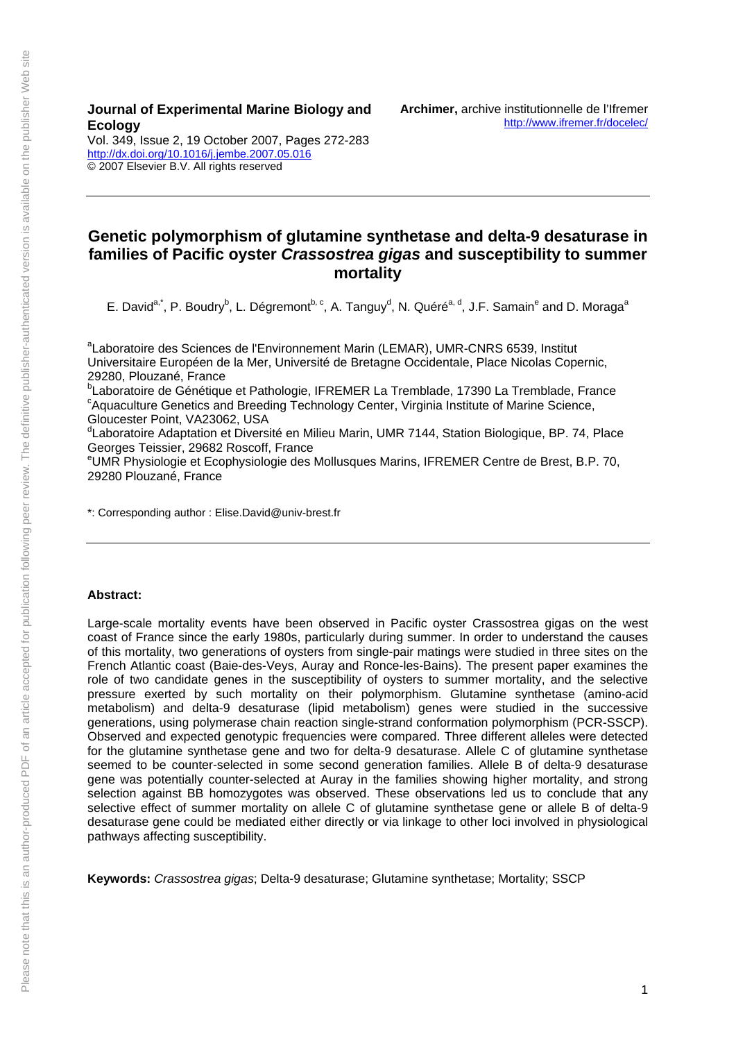#### **Journal of Experimental Marine Biology and Ecology**

Vol. 349, Issue 2, 19 October 2007, Pages 272-283 <http://dx.doi.org/10.1016/j.jembe.2007.05.016> © 2007 Elsevier B.V. All rights reserved

### **Genetic polymorphism of glutamine synthetase and delta-9 desaturase in families of Pacific oyster** *Crassostrea gigas* **and susceptibility to summer mortality**

E. David<sup>a,\*</sup>, P. Boudry<sup>b</sup>, L. Dégremont<sup>b, c</sup>, A. Tanguy<sup>d</sup>, N. Quéré<sup>a, d</sup>, J.F. Samain<sup>e</sup> and D. Moraga<sup>a</sup>

<sup>a</sup>Laboratoire des Sciences de l'Environnement Marin (LEMAR), UMR-CNRS 6539, Institut Universitaire Européen de la Mer, Université de Bretagne Occidentale, Place Nicolas Copernic, 29280, Plouzané, France

<sup>b</sup>Laboratoire de Génétique et Pathologie, IFREMER La Tremblade, 17390 La Tremblade, France<br>Canvasulture Ceneties and Prooding Technology Center, Virginia Institute of Marine Science <sup>c</sup>Aquaculture Genetics and Breeding Technology Center, Virginia Institute of Marine Science, Gloucester Point, VA23062, USA

<sup>d</sup>Laboratoire Adaptation et Diversité en Milieu Marin, UMR 7144, Station Biologique, BP. 74, Place Georges Teissier, 29682 Roscoff, France

e UMR Physiologie et Ecophysiologie des Mollusques Marins, IFREMER Centre de Brest, B.P. 70, 29280 Plouzané, France

\*: Corresponding author : Elise.David@univ-brest.fr

#### **Abstract:**

Large-scale mortality events have been observed in Pacific oyster Crassostrea gigas on the west coast of France since the early 1980s, particularly during summer. In order to understand the causes of this mortality, two generations of oysters from single-pair matings were studied in three sites on the French Atlantic coast (Baie-des-Veys, Auray and Ronce-les-Bains). The present paper examines the role of two candidate genes in the susceptibility of oysters to summer mortality, and the selective pressure exerted by such mortality on their polymorphism. Glutamine synthetase (amino-acid metabolism) and delta-9 desaturase (lipid metabolism) genes were studied in the successive generations, using polymerase chain reaction single-strand conformation polymorphism (PCR-SSCP). Observed and expected genotypic frequencies were compared. Three different alleles were detected for the glutamine synthetase gene and two for delta-9 desaturase. Allele C of glutamine synthetase seemed to be counter-selected in some second generation families. Allele B of delta-9 desaturase gene was potentially counter-selected at Auray in the families showing higher mortality, and strong selection against BB homozygotes was observed. These observations led us to conclude that any selective effect of summer mortality on allele C of glutamine synthetase gene or allele B of delta-9 desaturase gene could be mediated either directly or via linkage to other loci involved in physiological pathways affecting susceptibility.

**Keywords:** *Crassostrea gigas*; Delta-9 desaturase; Glutamine synthetase; Mortality; SSCP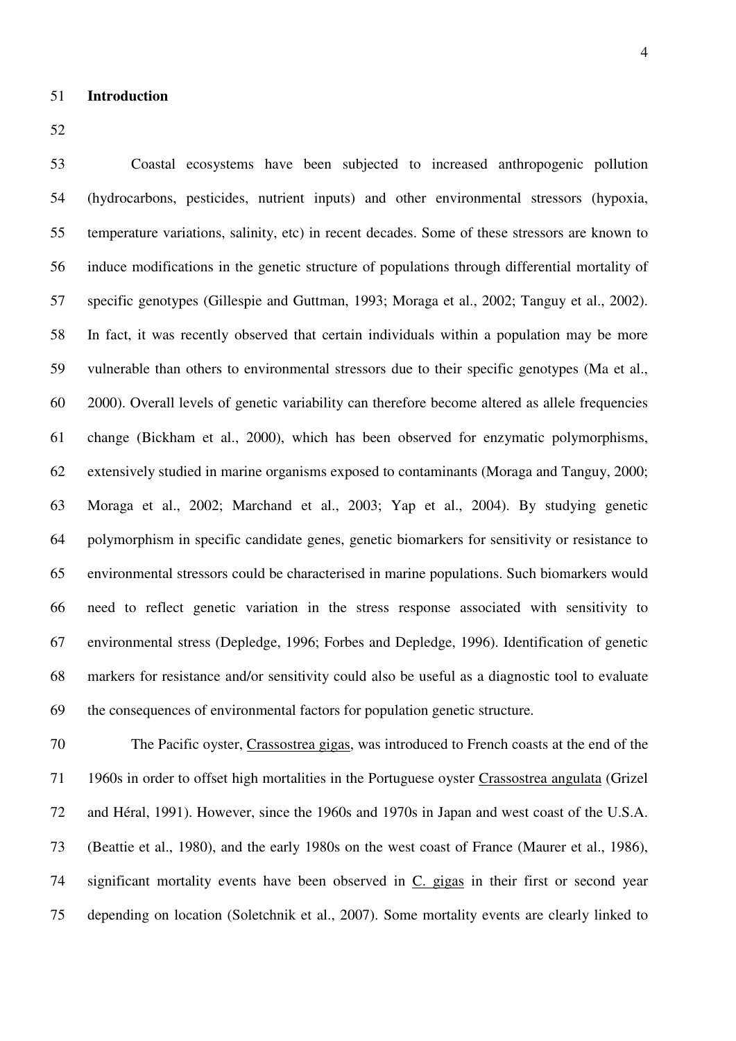52

53 Coastal ecosystems have been subjected to increased anthropogenic pollution 54 (hydrocarbons, pesticides, nutrient inputs) and other environmental stressors (hypoxia, 55 temperature variations, salinity, etc) in recent decades. Some of these stressors are known to 56 induce modifications in the genetic structure of populations through differential mortality of 57 specific genotypes (Gillespie and Guttman, 1993; Moraga et al., 2002; Tanguy et al., 2002). 58 In fact, it was recently observed that certain individuals within a population may be more 59 vulnerable than others to environmental stressors due to their specific genotypes (Ma et al., 60 2000). Overall levels of genetic variability can therefore become altered as allele frequencies 61 change (Bickham et al., 2000), which has been observed for enzymatic polymorphisms, 62 extensively studied in marine organisms exposed to contaminants (Moraga and Tanguy, 2000; 63 Moraga et al., 2002; Marchand et al., 2003; Yap et al., 2004). By studying genetic 64 polymorphism in specific candidate genes, genetic biomarkers for sensitivity or resistance to 65 environmental stressors could be characterised in marine populations. Such biomarkers would 66 need to reflect genetic variation in the stress response associated with sensitivity to 67 environmental stress (Depledge, 1996; Forbes and Depledge, 1996). Identification of genetic 68 markers for resistance and/or sensitivity could also be useful as a diagnostic tool to evaluate 69 the consequences of environmental factors for population genetic structure.

70 The Pacific oyster, Crassostrea gigas, was introduced to French coasts at the end of the 71 1960s in order to offset high mortalities in the Portuguese oyster Crassostrea angulata (Grizel 72 and Héral, 1991). However, since the 1960s and 1970s in Japan and west coast of the U.S.A. 73 (Beattie et al., 1980), and the early 1980s on the west coast of France (Maurer et al., 1986), 74 significant mortality events have been observed in C. gigas in their first or second year 75 depending on location (Soletchnik et al., 2007). Some mortality events are clearly linked to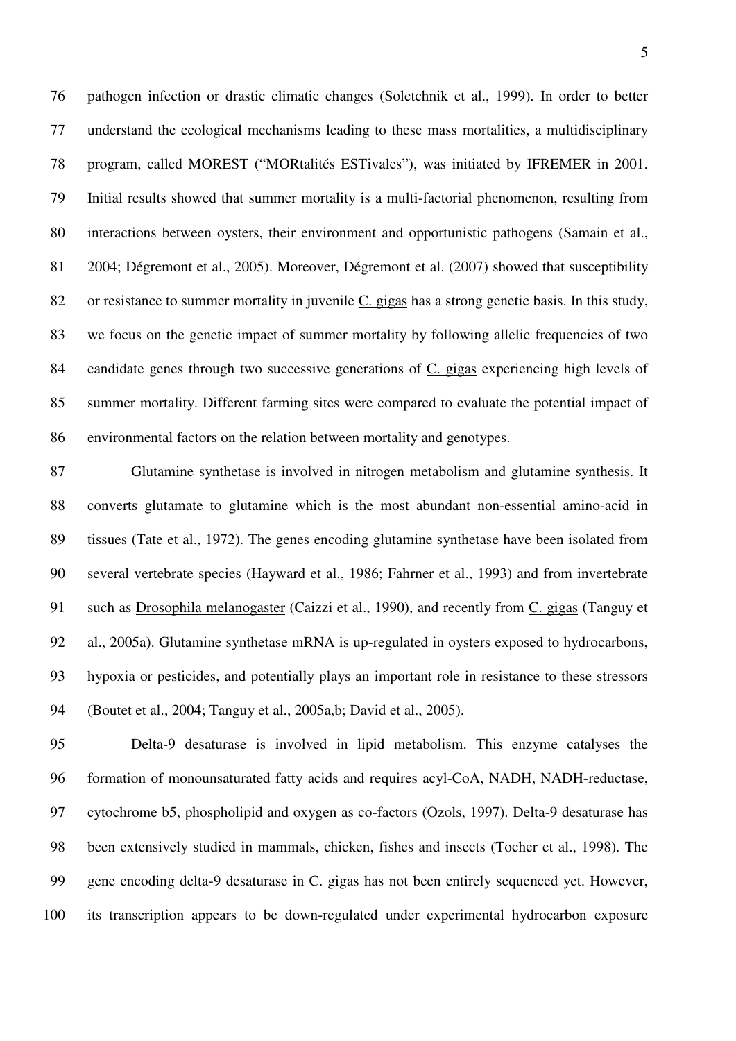76 pathogen infection or drastic climatic changes (Soletchnik et al., 1999). In order to better 77 understand the ecological mechanisms leading to these mass mortalities, a multidisciplinary 78 program, called MOREST ("MORtalités ESTivales"), was initiated by IFREMER in 2001. 79 Initial results showed that summer mortality is a multi-factorial phenomenon, resulting from 80 interactions between oysters, their environment and opportunistic pathogens (Samain et al., 81 2004; Dégremont et al., 2005). Moreover, Dégremont et al. (2007) showed that susceptibility 82 or resistance to summer mortality in juvenile C. gigas has a strong genetic basis. In this study, 83 we focus on the genetic impact of summer mortality by following allelic frequencies of two 84 candidate genes through two successive generations of C. gigas experiencing high levels of 85 summer mortality. Different farming sites were compared to evaluate the potential impact of 86 environmental factors on the relation between mortality and genotypes.

87 Glutamine synthetase is involved in nitrogen metabolism and glutamine synthesis. It 88 converts glutamate to glutamine which is the most abundant non-essential amino-acid in 89 tissues (Tate et al., 1972). The genes encoding glutamine synthetase have been isolated from 90 several vertebrate species (Hayward et al., 1986; Fahrner et al., 1993) and from invertebrate 91 such as Drosophila melanogaster (Caizzi et al., 1990), and recently from C. gigas (Tanguy et 92 al., 2005a). Glutamine synthetase mRNA is up-regulated in oysters exposed to hydrocarbons, 93 hypoxia or pesticides, and potentially plays an important role in resistance to these stressors 94 (Boutet et al., 2004; Tanguy et al., 2005a,b; David et al., 2005).

95 Delta-9 desaturase is involved in lipid metabolism. This enzyme catalyses the 96 formation of monounsaturated fatty acids and requires acyl-CoA, NADH, NADH-reductase, 97 cytochrome b5, phospholipid and oxygen as co-factors (Ozols, 1997). Delta-9 desaturase has 98 been extensively studied in mammals, chicken, fishes and insects (Tocher et al., 1998). The 99 gene encoding delta-9 desaturase in C. gigas has not been entirely sequenced yet. However, 100 its transcription appears to be down-regulated under experimental hydrocarbon exposure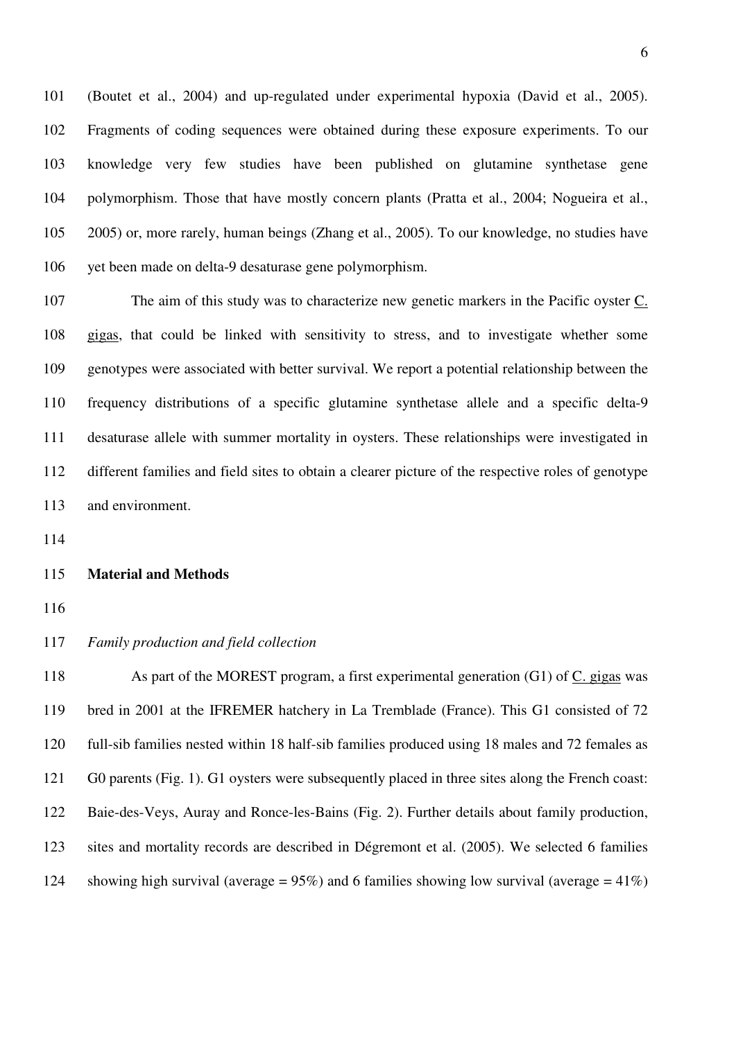101 (Boutet et al., 2004) and up-regulated under experimental hypoxia (David et al., 2005). 102 Fragments of coding sequences were obtained during these exposure experiments. To our 103 knowledge very few studies have been published on glutamine synthetase gene 104 polymorphism. Those that have mostly concern plants (Pratta et al., 2004; Nogueira et al., 105 2005) or, more rarely, human beings (Zhang et al., 2005). To our knowledge, no studies have 106 yet been made on delta-9 desaturase gene polymorphism.

107 The aim of this study was to characterize new genetic markers in the Pacific oyster C. 108 gigas, that could be linked with sensitivity to stress, and to investigate whether some 109 genotypes were associated with better survival. We report a potential relationship between the 110 frequency distributions of a specific glutamine synthetase allele and a specific delta-9 111 desaturase allele with summer mortality in oysters. These relationships were investigated in 112 different families and field sites to obtain a clearer picture of the respective roles of genotype 113 and environment.

114

#### 115 **Material and Methods**

116

#### 117 *Family production and field collection*

118 As part of the MOREST program, a first experimental generation (G1) of C. gigas was 119 bred in 2001 at the IFREMER hatchery in La Tremblade (France). This G1 consisted of 72 120 full-sib families nested within 18 half-sib families produced using 18 males and 72 females as 121 G0 parents (Fig. 1). G1 oysters were subsequently placed in three sites along the French coast: 122 Baie-des-Veys, Auray and Ronce-les-Bains (Fig. 2). Further details about family production, 123 sites and mortality records are described in Dégremont et al. (2005). We selected 6 families 124 showing high survival (average =  $95\%$ ) and 6 families showing low survival (average =  $41\%$ )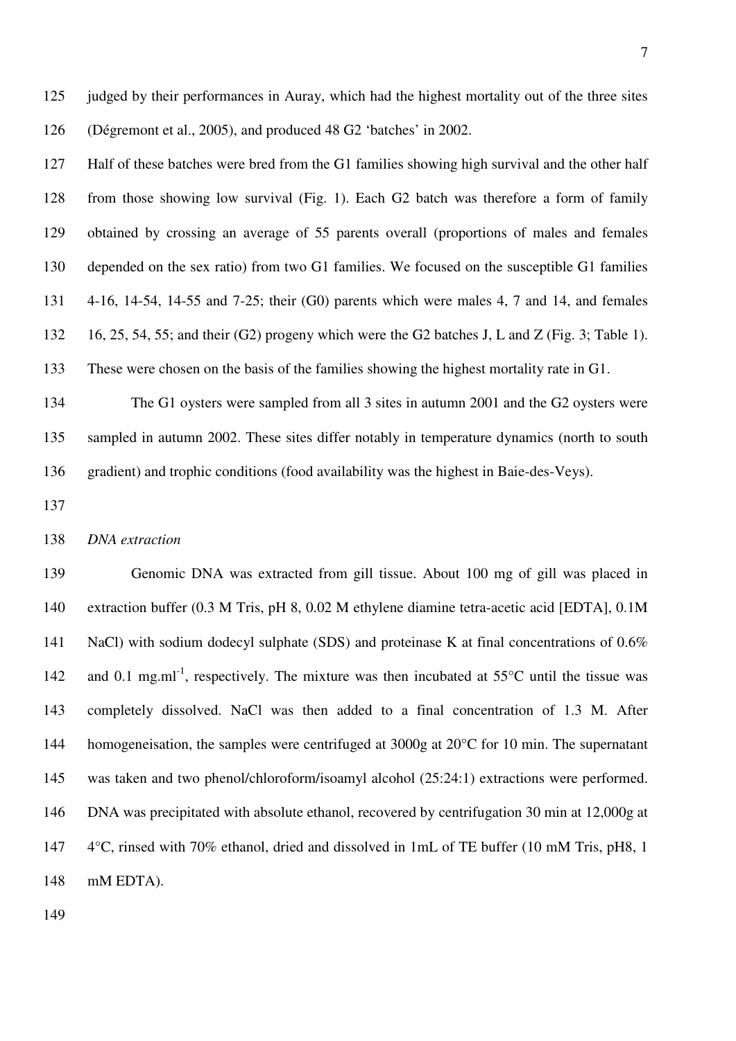125 judged by their performances in Auray, which had the highest mortality out of the three sites 126 (Dégremont et al., 2005), and produced 48 G2 'batches' in 2002.

127 Half of these batches were bred from the G1 families showing high survival and the other half 128 from those showing low survival (Fig. 1). Each G2 batch was therefore a form of family 129 obtained by crossing an average of 55 parents overall (proportions of males and females 130 depended on the sex ratio) from two G1 families. We focused on the susceptible G1 families 131 4-16, 14-54, 14-55 and 7-25; their (G0) parents which were males 4, 7 and 14, and females 132 16, 25, 54, 55; and their (G2) progeny which were the G2 batches J, L and Z (Fig. 3; Table 1). 133 These were chosen on the basis of the families showing the highest mortality rate in G1.

134 The G1 oysters were sampled from all 3 sites in autumn 2001 and the G2 oysters were 135 sampled in autumn 2002. These sites differ notably in temperature dynamics (north to south 136 gradient) and trophic conditions (food availability was the highest in Baie-des-Veys).

137

138 *DNA extraction* 

139 Genomic DNA was extracted from gill tissue. About 100 mg of gill was placed in 140 extraction buffer (0.3 M Tris, pH 8, 0.02 M ethylene diamine tetra-acetic acid [EDTA], 0.1M 141 NaCl) with sodium dodecyl sulphate (SDS) and proteinase K at final concentrations of 0.6% 142 and 0.1 mg.ml<sup>-1</sup>, respectively. The mixture was then incubated at  $55^{\circ}$ C until the tissue was 143 completely dissolved. NaCl was then added to a final concentration of 1.3 M. After 144 homogeneisation, the samples were centrifuged at 3000g at 20<sup>o</sup>C for 10 min. The supernatant 145 was taken and two phenol/chloroform/isoamyl alcohol (25:24:1) extractions were performed. 146 DNA was precipitated with absolute ethanol, recovered by centrifugation 30 min at 12,000g at 147 4°C, rinsed with 70% ethanol, dried and dissolved in 1mL of TE buffer (10 mM Tris, pH8, 1 148 mM EDTA).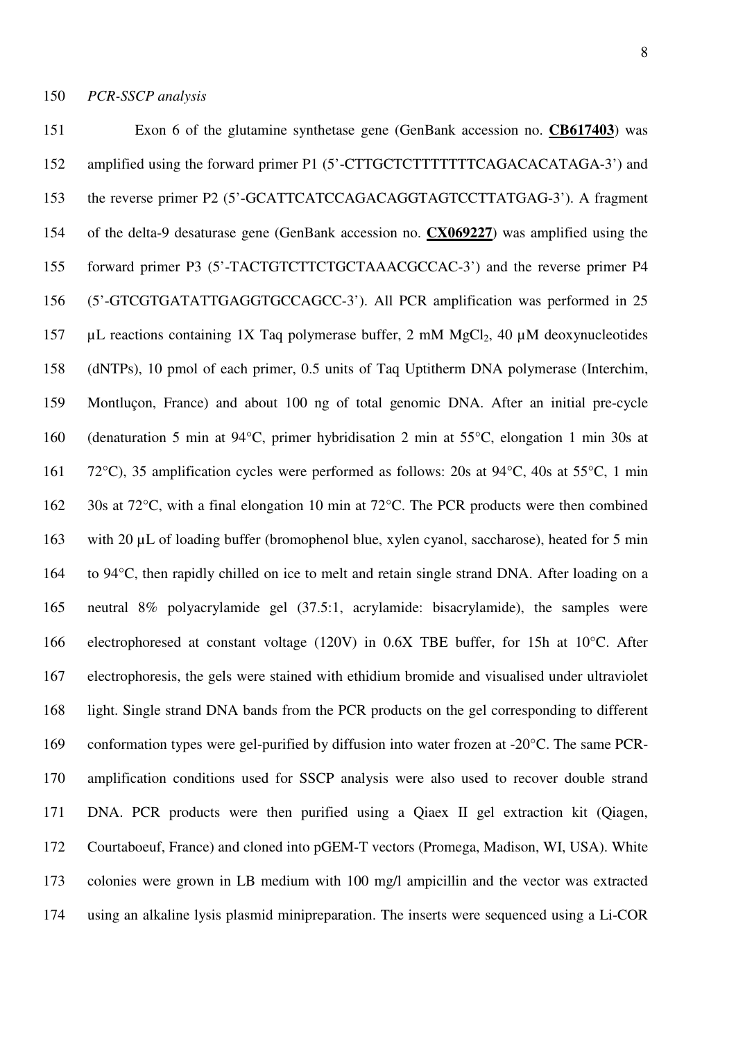151 Exon 6 of the glutamine synthetase gene (GenBank accession no. **CB617403**) was 152 amplified using the forward primer P1 (5'-CTTGCTCTTTTTTTCAGACACATAGA-3') and 153 the reverse primer P2 (5'-GCATTCATCCAGACAGGTAGTCCTTATGAG-3'). A fragment 154 of the delta-9 desaturase gene (GenBank accession no. **CX069227**) was amplified using the 155 forward primer P3 (5'-TACTGTCTTCTGCTAAACGCCAC-3') and the reverse primer P4 156 (5'-GTCGTGATATTGAGGTGCCAGCC-3'). All PCR amplification was performed in 25 157  $\mu$ L reactions containing 1X Taq polymerase buffer, 2 mM MgCl<sub>2</sub>, 40  $\mu$ M deoxynucleotides 158 (dNTPs), 10 pmol of each primer, 0.5 units of Taq Uptitherm DNA polymerase (Interchim, 159 Montluçon, France) and about 100 ng of total genomic DNA. After an initial pre-cycle 160 (denaturation 5 min at 94°C, primer hybridisation 2 min at 55°C, elongation 1 min 30s at 161 72°C), 35 amplification cycles were performed as follows: 20s at 94°C, 40s at 55°C, 1 min 162 30s at 72°C, with a final elongation 10 min at 72°C. The PCR products were then combined 163 with 20 µL of loading buffer (bromophenol blue, xylen cyanol, saccharose), heated for 5 min 164 to 94°C, then rapidly chilled on ice to melt and retain single strand DNA. After loading on a 165 neutral 8% polyacrylamide gel (37.5:1, acrylamide: bisacrylamide), the samples were 166 electrophoresed at constant voltage (120V) in 0.6X TBE buffer, for 15h at 10°C. After 167 electrophoresis, the gels were stained with ethidium bromide and visualised under ultraviolet 168 light. Single strand DNA bands from the PCR products on the gel corresponding to different 169 conformation types were gel-purified by diffusion into water frozen at -20°C. The same PCR-170 amplification conditions used for SSCP analysis were also used to recover double strand 171 DNA. PCR products were then purified using a Qiaex II gel extraction kit (Qiagen, 172 Courtaboeuf, France) and cloned into pGEM-T vectors (Promega, Madison, WI, USA). White 173 colonies were grown in LB medium with 100 mg/l ampicillin and the vector was extracted 174 using an alkaline lysis plasmid minipreparation. The inserts were sequenced using a Li-COR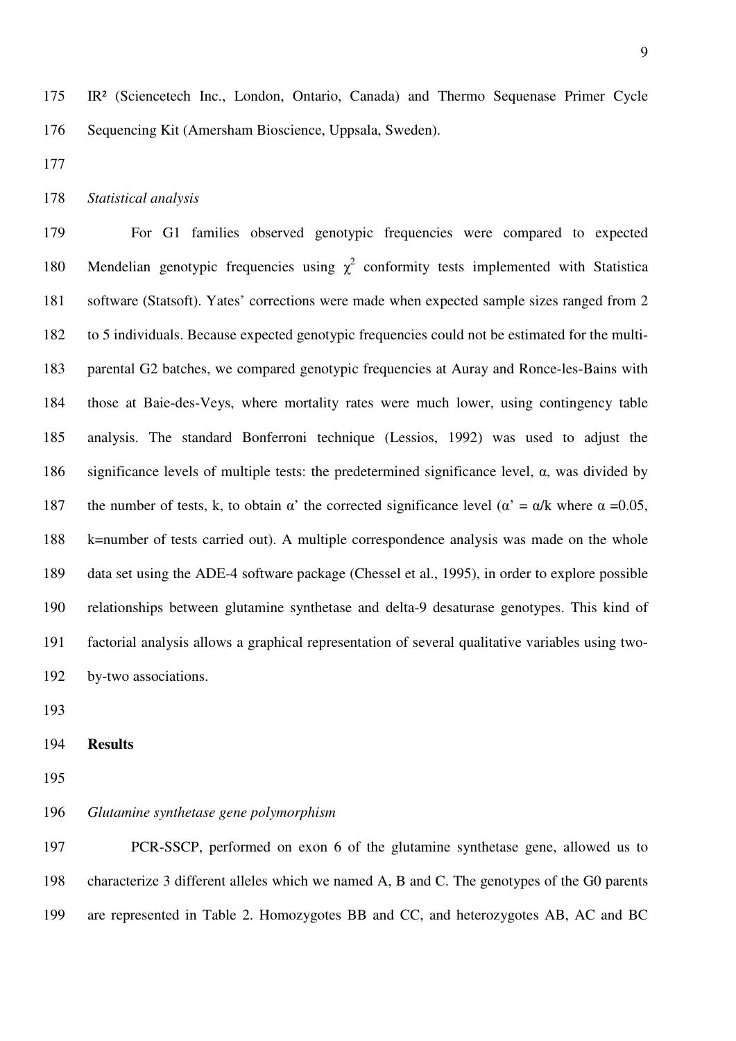175 IR² (Sciencetech Inc., London, Ontario, Canada) and Thermo Sequenase Primer Cycle 176 Sequencing Kit (Amersham Bioscience, Uppsala, Sweden).

177

#### 178 *Statistical analysis*

179 For G1 families observed genotypic frequencies were compared to expected 180 Mendelian genotypic frequencies using  $\chi^2$  conformity tests implemented with Statistica 181 software (Statsoft). Yates' corrections were made when expected sample sizes ranged from 2 182 to 5 individuals. Because expected genotypic frequencies could not be estimated for the multi-183 parental G2 batches, we compared genotypic frequencies at Auray and Ronce-les-Bains with 184 those at Baie-des-Veys, where mortality rates were much lower, using contingency table 185 analysis. The standard Bonferroni technique (Lessios, 1992) was used to adjust the 186 significance levels of multiple tests: the predetermined significance level, α, was divided by 187 the number of tests, k, to obtain  $\alpha'$  the corrected significance level ( $\alpha' = \alpha/k$  where  $\alpha = 0.05$ , 188 k=number of tests carried out). A multiple correspondence analysis was made on the whole 189 data set using the ADE-4 software package (Chessel et al., 1995), in order to explore possible 190 relationships between glutamine synthetase and delta-9 desaturase genotypes. This kind of 191 factorial analysis allows a graphical representation of several qualitative variables using two-192 by-two associations.

193

#### 194 **Results**

195

#### 196 *Glutamine synthetase gene polymorphism*

197 PCR-SSCP, performed on exon 6 of the glutamine synthetase gene, allowed us to 198 characterize 3 different alleles which we named A, B and C. The genotypes of the G0 parents 199 are represented in Table 2. Homozygotes BB and CC, and heterozygotes AB, AC and BC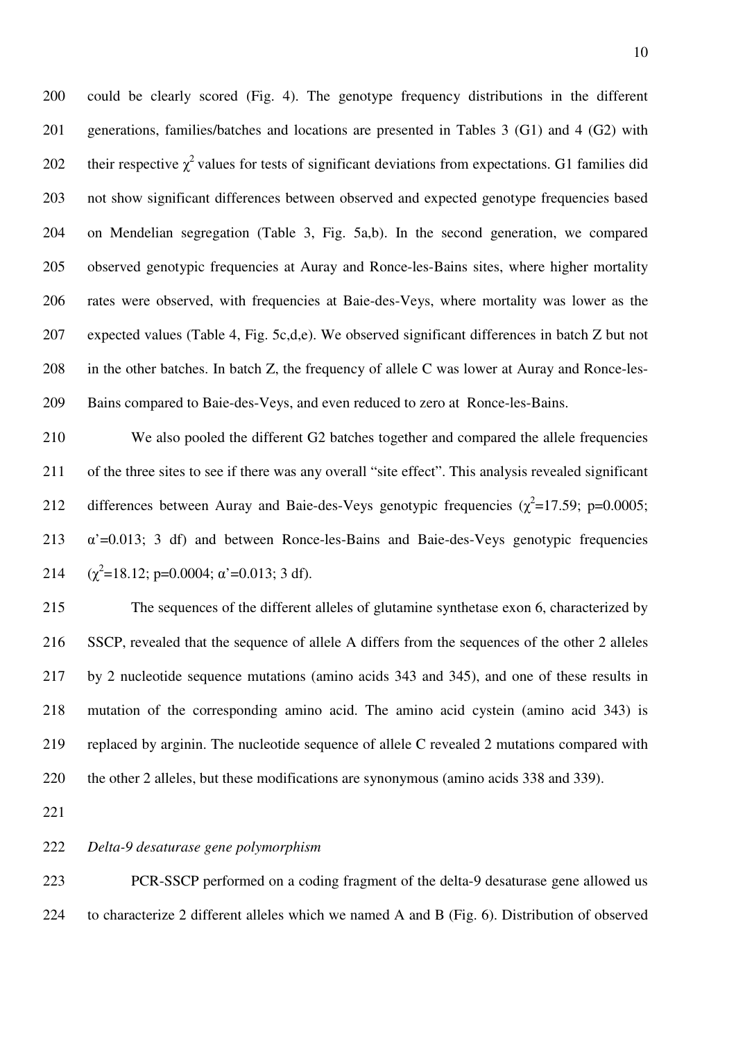200 could be clearly scored (Fig. 4). The genotype frequency distributions in the different 201 generations, families/batches and locations are presented in Tables 3 (G1) and 4 (G2) with 202 their respective  $\chi^2$  values for tests of significant deviations from expectations. G1 families did 203 not show significant differences between observed and expected genotype frequencies based 204 on Mendelian segregation (Table 3, Fig. 5a,b). In the second generation, we compared 205 observed genotypic frequencies at Auray and Ronce-les-Bains sites, where higher mortality 206 rates were observed, with frequencies at Baie-des-Veys, where mortality was lower as the 207 expected values (Table 4, Fig. 5c,d,e). We observed significant differences in batch Z but not 208 in the other batches. In batch Z, the frequency of allele C was lower at Auray and Ronce-les-209 Bains compared to Baie-des-Veys, and even reduced to zero at Ronce-les-Bains.

210 We also pooled the different G2 batches together and compared the allele frequencies 211 of the three sites to see if there was any overall "site effect". This analysis revealed significant 212 differences between Auray and Baie-des-Veys genotypic frequencies  $(\chi^2=17.59; \text{ p}=0.0005;$ 213  $\alpha$ '=0.013; 3 df) and between Ronce-les-Bains and Baie-des-Veys genotypic frequencies 214  $(\chi^2=18.12; \text{p}=0.0004; \text{a'}=0.013; 3 \text{ df}).$ 

215 The sequences of the different alleles of glutamine synthetase exon 6, characterized by 216 SSCP, revealed that the sequence of allele A differs from the sequences of the other 2 alleles 217 by 2 nucleotide sequence mutations (amino acids 343 and 345), and one of these results in 218 mutation of the corresponding amino acid. The amino acid cystein (amino acid 343) is 219 replaced by arginin. The nucleotide sequence of allele C revealed 2 mutations compared with 220 the other 2 alleles, but these modifications are synonymous (amino acids 338 and 339).

221

#### 222 *Delta-9 desaturase gene polymorphism*

223 PCR-SSCP performed on a coding fragment of the delta-9 desaturase gene allowed us 224 to characterize 2 different alleles which we named A and B (Fig. 6). Distribution of observed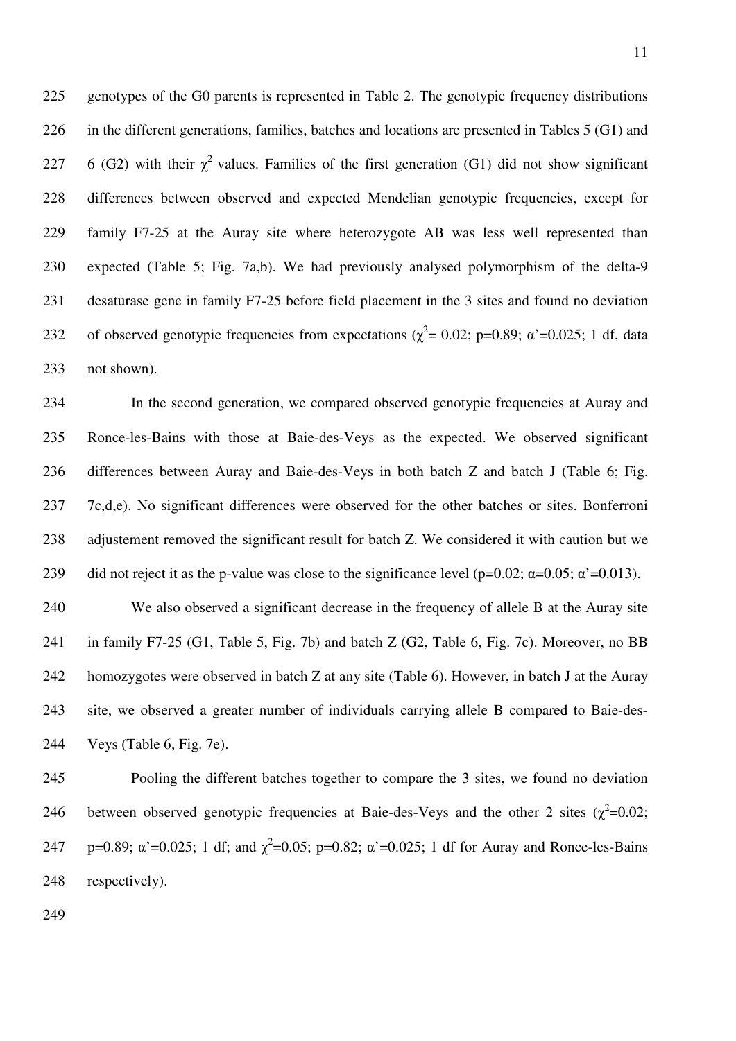225 genotypes of the G0 parents is represented in Table 2. The genotypic frequency distributions 226 in the different generations, families, batches and locations are presented in Tables 5 (G1) and 227 6 (G2) with their  $\chi^2$  values. Families of the first generation (G1) did not show significant 228 differences between observed and expected Mendelian genotypic frequencies, except for 229 family F7-25 at the Auray site where heterozygote AB was less well represented than 230 expected (Table 5; Fig. 7a,b). We had previously analysed polymorphism of the delta-9 231 desaturase gene in family F7-25 before field placement in the 3 sites and found no deviation 232 of observed genotypic frequencies from expectations ( $\chi^2$  = 0.02; p=0.89;  $\alpha$ '=0.025; 1 df, data 233 not shown).

234 In the second generation, we compared observed genotypic frequencies at Auray and 235 Ronce-les-Bains with those at Baie-des-Veys as the expected. We observed significant 236 differences between Auray and Baie-des-Veys in both batch Z and batch J (Table 6; Fig. 237 7c,d,e). No significant differences were observed for the other batches or sites. Bonferroni 238 adjustement removed the significant result for batch Z. We considered it with caution but we 239 did not reject it as the p-value was close to the significance level (p=0.02;  $\alpha$ =0.05;  $\alpha$ '=0.013).

240 We also observed a significant decrease in the frequency of allele B at the Auray site 241 in family F7-25 (G1, Table 5, Fig. 7b) and batch Z (G2, Table 6, Fig. 7c). Moreover, no BB 242 homozygotes were observed in batch Z at any site (Table 6). However, in batch J at the Auray 243 site, we observed a greater number of individuals carrying allele B compared to Baie-des-244 Veys (Table 6, Fig. 7e).

245 Pooling the different batches together to compare the 3 sites, we found no deviation 246 between observed genotypic frequencies at Baie-des-Veys and the other 2 sites  $(\chi^2=0.02;$ 247 p=0.89;  $\alpha'$  =0.025; 1 df; and  $\chi^2$  =0.05; p=0.82;  $\alpha'$  =0.025; 1 df for Auray and Ronce-les-Bains 248 respectively).

249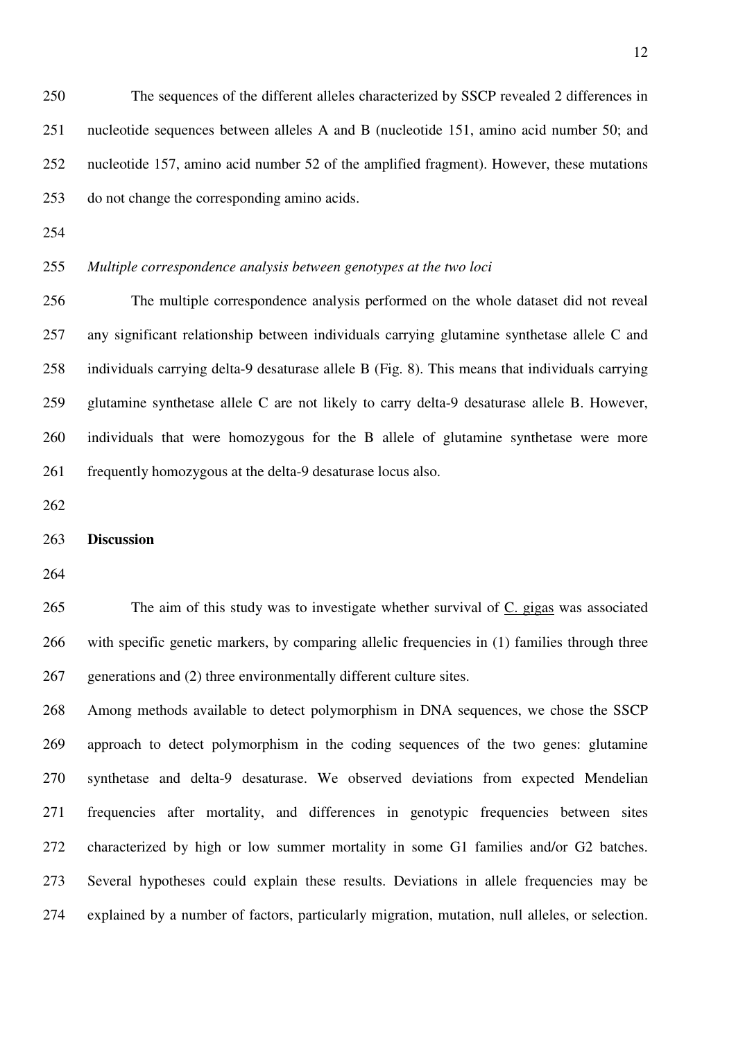250 The sequences of the different alleles characterized by SSCP revealed 2 differences in 251 nucleotide sequences between alleles A and B (nucleotide 151, amino acid number 50; and 252 nucleotide 157, amino acid number 52 of the amplified fragment). However, these mutations 253 do not change the corresponding amino acids.

- 254
- 

## 255 *Multiple correspondence analysis between genotypes at the two loci*

256 The multiple correspondence analysis performed on the whole dataset did not reveal 257 any significant relationship between individuals carrying glutamine synthetase allele C and 258 individuals carrying delta-9 desaturase allele B (Fig. 8). This means that individuals carrying 259 glutamine synthetase allele C are not likely to carry delta-9 desaturase allele B. However, 260 individuals that were homozygous for the B allele of glutamine synthetase were more 261 frequently homozygous at the delta-9 desaturase locus also.

262

#### 263 **Discussion**

264

265 The aim of this study was to investigate whether survival of C. gigas was associated 266 with specific genetic markers, by comparing allelic frequencies in (1) families through three 267 generations and (2) three environmentally different culture sites.

268 Among methods available to detect polymorphism in DNA sequences, we chose the SSCP 269 approach to detect polymorphism in the coding sequences of the two genes: glutamine 270 synthetase and delta-9 desaturase. We observed deviations from expected Mendelian 271 frequencies after mortality, and differences in genotypic frequencies between sites 272 characterized by high or low summer mortality in some G1 families and/or G2 batches. 273 Several hypotheses could explain these results. Deviations in allele frequencies may be 274 explained by a number of factors, particularly migration, mutation, null alleles, or selection.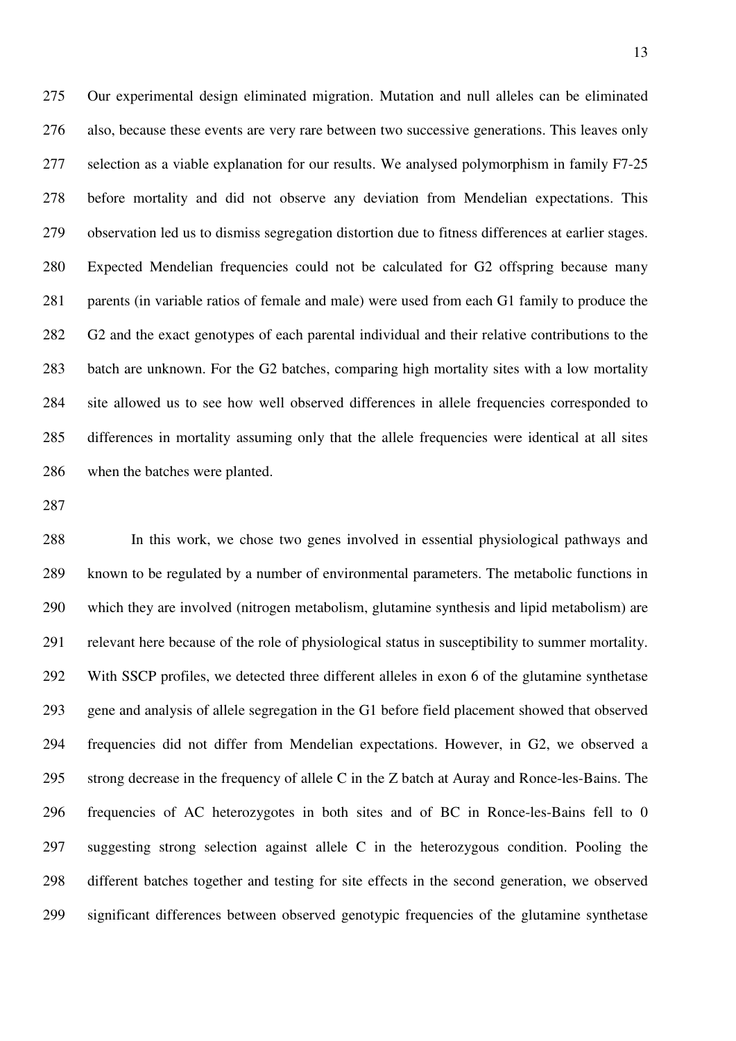275 Our experimental design eliminated migration. Mutation and null alleles can be eliminated 276 also, because these events are very rare between two successive generations. This leaves only 277 selection as a viable explanation for our results. We analysed polymorphism in family F7-25 278 before mortality and did not observe any deviation from Mendelian expectations. This 279 observation led us to dismiss segregation distortion due to fitness differences at earlier stages. 280 Expected Mendelian frequencies could not be calculated for G2 offspring because many 281 parents (in variable ratios of female and male) were used from each G1 family to produce the 282 G2 and the exact genotypes of each parental individual and their relative contributions to the 283 batch are unknown. For the G2 batches, comparing high mortality sites with a low mortality 284 site allowed us to see how well observed differences in allele frequencies corresponded to 285 differences in mortality assuming only that the allele frequencies were identical at all sites 286 when the batches were planted.

287

288 In this work, we chose two genes involved in essential physiological pathways and 289 known to be regulated by a number of environmental parameters. The metabolic functions in 290 which they are involved (nitrogen metabolism, glutamine synthesis and lipid metabolism) are 291 relevant here because of the role of physiological status in susceptibility to summer mortality. 292 With SSCP profiles, we detected three different alleles in exon 6 of the glutamine synthetase 293 gene and analysis of allele segregation in the G1 before field placement showed that observed 294 frequencies did not differ from Mendelian expectations. However, in G2, we observed a 295 strong decrease in the frequency of allele C in the Z batch at Auray and Ronce-les-Bains. The 296 frequencies of AC heterozygotes in both sites and of BC in Ronce-les-Bains fell to 0 297 suggesting strong selection against allele C in the heterozygous condition. Pooling the 298 different batches together and testing for site effects in the second generation, we observed 299 significant differences between observed genotypic frequencies of the glutamine synthetase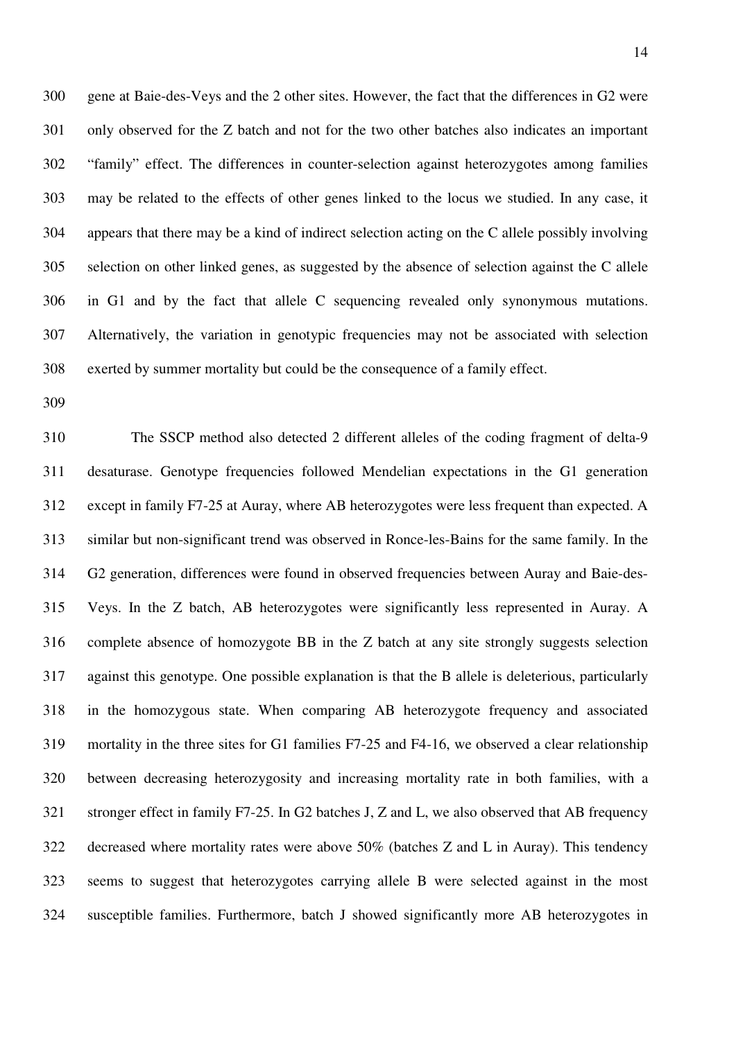300 gene at Baie-des-Veys and the 2 other sites. However, the fact that the differences in G2 were 301 only observed for the Z batch and not for the two other batches also indicates an important 302 "family" effect. The differences in counter-selection against heterozygotes among families 303 may be related to the effects of other genes linked to the locus we studied. In any case, it 304 appears that there may be a kind of indirect selection acting on the C allele possibly involving 305 selection on other linked genes, as suggested by the absence of selection against the C allele 306 in G1 and by the fact that allele C sequencing revealed only synonymous mutations. 307 Alternatively, the variation in genotypic frequencies may not be associated with selection 308 exerted by summer mortality but could be the consequence of a family effect.

309

310 The SSCP method also detected 2 different alleles of the coding fragment of delta-9 311 desaturase. Genotype frequencies followed Mendelian expectations in the G1 generation 312 except in family F7-25 at Auray, where AB heterozygotes were less frequent than expected. A 313 similar but non-significant trend was observed in Ronce-les-Bains for the same family. In the 314 G2 generation, differences were found in observed frequencies between Auray and Baie-des-315 Veys. In the Z batch, AB heterozygotes were significantly less represented in Auray. A 316 complete absence of homozygote BB in the Z batch at any site strongly suggests selection 317 against this genotype. One possible explanation is that the B allele is deleterious, particularly 318 in the homozygous state. When comparing AB heterozygote frequency and associated 319 mortality in the three sites for G1 families F7-25 and F4-16, we observed a clear relationship 320 between decreasing heterozygosity and increasing mortality rate in both families, with a 321 stronger effect in family F7-25. In G2 batches J, Z and L, we also observed that AB frequency 322 decreased where mortality rates were above 50% (batches Z and L in Auray). This tendency 323 seems to suggest that heterozygotes carrying allele B were selected against in the most 324 susceptible families. Furthermore, batch J showed significantly more AB heterozygotes in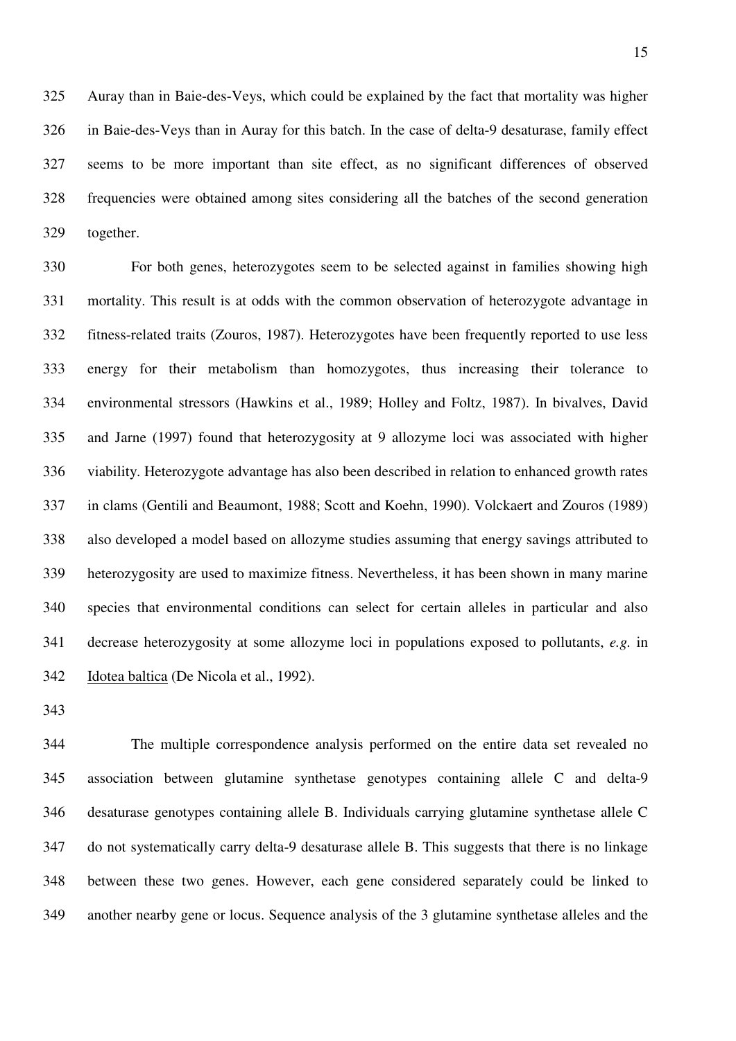325 Auray than in Baie-des-Veys, which could be explained by the fact that mortality was higher 326 in Baie-des-Veys than in Auray for this batch. In the case of delta-9 desaturase, family effect 327 seems to be more important than site effect, as no significant differences of observed 328 frequencies were obtained among sites considering all the batches of the second generation 329 together.

330 For both genes, heterozygotes seem to be selected against in families showing high 331 mortality. This result is at odds with the common observation of heterozygote advantage in 332 fitness-related traits (Zouros, 1987). Heterozygotes have been frequently reported to use less 333 energy for their metabolism than homozygotes, thus increasing their tolerance to 334 environmental stressors (Hawkins et al., 1989; Holley and Foltz, 1987). In bivalves, David 335 and Jarne (1997) found that heterozygosity at 9 allozyme loci was associated with higher 336 viability. Heterozygote advantage has also been described in relation to enhanced growth rates 337 in clams (Gentili and Beaumont, 1988; Scott and Koehn, 1990). Volckaert and Zouros (1989) 338 also developed a model based on allozyme studies assuming that energy savings attributed to 339 heterozygosity are used to maximize fitness. Nevertheless, it has been shown in many marine 340 species that environmental conditions can select for certain alleles in particular and also 341 decrease heterozygosity at some allozyme loci in populations exposed to pollutants, *e.g.* in 342 Idotea baltica (De Nicola et al., 1992).

343

344 The multiple correspondence analysis performed on the entire data set revealed no 345 association between glutamine synthetase genotypes containing allele C and delta-9 346 desaturase genotypes containing allele B. Individuals carrying glutamine synthetase allele C 347 do not systematically carry delta-9 desaturase allele B. This suggests that there is no linkage 348 between these two genes. However, each gene considered separately could be linked to 349 another nearby gene or locus. Sequence analysis of the 3 glutamine synthetase alleles and the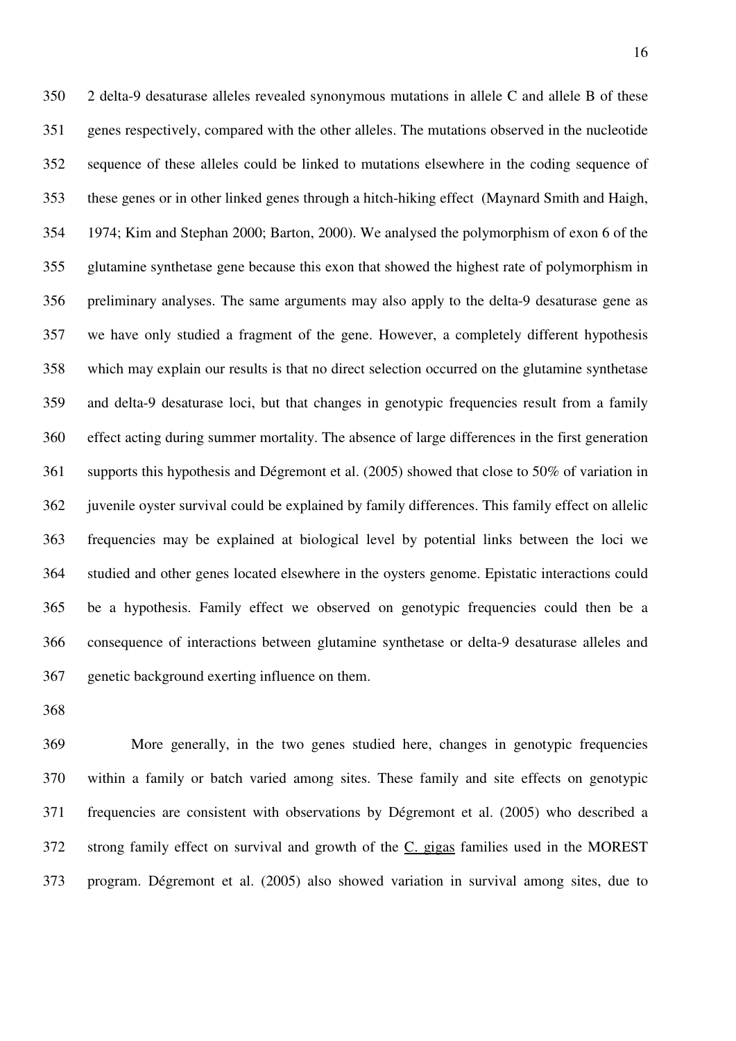350 2 delta-9 desaturase alleles revealed synonymous mutations in allele C and allele B of these 351 genes respectively, compared with the other alleles. The mutations observed in the nucleotide 352 sequence of these alleles could be linked to mutations elsewhere in the coding sequence of 353 these genes or in other linked genes through a hitch-hiking effect (Maynard Smith and Haigh, 354 1974; Kim and Stephan 2000; Barton, 2000). We analysed the polymorphism of exon 6 of the 355 glutamine synthetase gene because this exon that showed the highest rate of polymorphism in 356 preliminary analyses. The same arguments may also apply to the delta-9 desaturase gene as 357 we have only studied a fragment of the gene. However, a completely different hypothesis 358 which may explain our results is that no direct selection occurred on the glutamine synthetase 359 and delta-9 desaturase loci, but that changes in genotypic frequencies result from a family 360 effect acting during summer mortality. The absence of large differences in the first generation 361 supports this hypothesis and Dégremont et al. (2005) showed that close to 50% of variation in 362 juvenile oyster survival could be explained by family differences. This family effect on allelic 363 frequencies may be explained at biological level by potential links between the loci we 364 studied and other genes located elsewhere in the oysters genome. Epistatic interactions could 365 be a hypothesis. Family effect we observed on genotypic frequencies could then be a 366 consequence of interactions between glutamine synthetase or delta-9 desaturase alleles and 367 genetic background exerting influence on them.

368

369 More generally, in the two genes studied here, changes in genotypic frequencies 370 within a family or batch varied among sites. These family and site effects on genotypic 371 frequencies are consistent with observations by Dégremont et al. (2005) who described a 372 strong family effect on survival and growth of the C. gigas families used in the MOREST 373 program. Dégremont et al. (2005) also showed variation in survival among sites, due to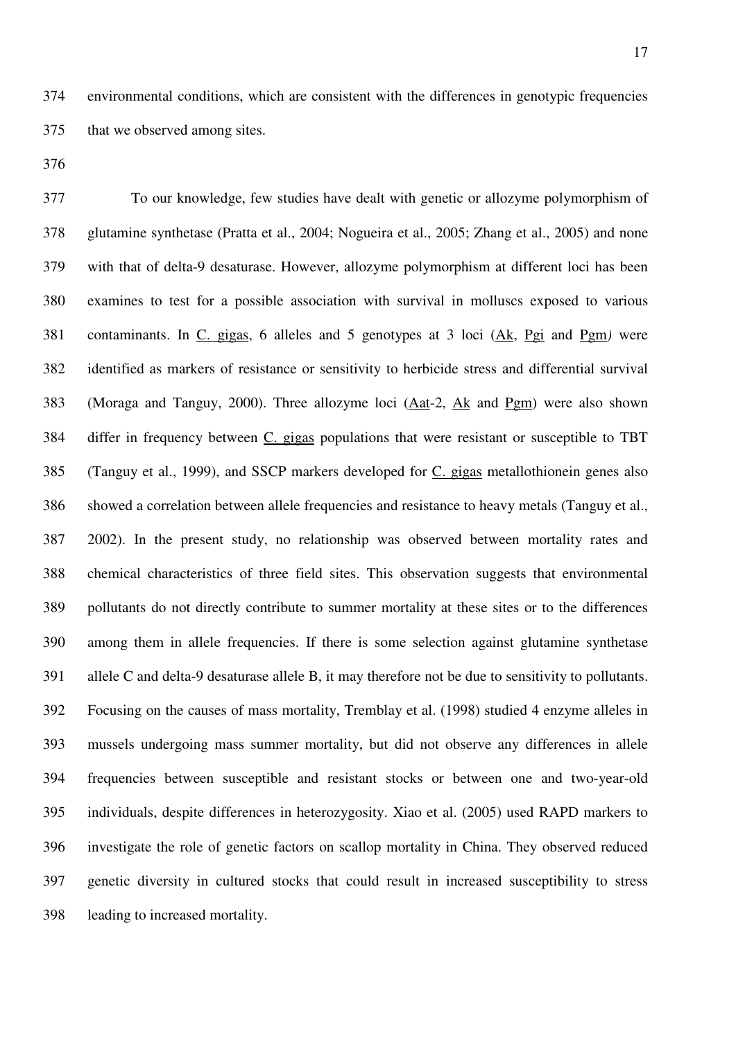374 environmental conditions, which are consistent with the differences in genotypic frequencies 375 that we observed among sites.

376

377 To our knowledge, few studies have dealt with genetic or allozyme polymorphism of 378 glutamine synthetase (Pratta et al., 2004; Nogueira et al., 2005; Zhang et al., 2005) and none 379 with that of delta-9 desaturase. However, allozyme polymorphism at different loci has been 380 examines to test for a possible association with survival in molluscs exposed to various 381 contaminants. In C. gigas, 6 alleles and 5 genotypes at 3 loci (Ak, Pgi and Pgm*)* were 382 identified as markers of resistance or sensitivity to herbicide stress and differential survival 383 (Moraga and Tanguy, 2000). Three allozyme loci (Aat-2, Ak and Pgm) were also shown 384 differ in frequency between C. gigas populations that were resistant or susceptible to TBT 385 (Tanguy et al., 1999), and SSCP markers developed for C. gigas metallothionein genes also 386 showed a correlation between allele frequencies and resistance to heavy metals (Tanguy et al., 387 2002). In the present study, no relationship was observed between mortality rates and 388 chemical characteristics of three field sites. This observation suggests that environmental 389 pollutants do not directly contribute to summer mortality at these sites or to the differences 390 among them in allele frequencies. If there is some selection against glutamine synthetase 391 allele C and delta-9 desaturase allele B, it may therefore not be due to sensitivity to pollutants. 392 Focusing on the causes of mass mortality, Tremblay et al. (1998) studied 4 enzyme alleles in 393 mussels undergoing mass summer mortality, but did not observe any differences in allele 394 frequencies between susceptible and resistant stocks or between one and two-year-old 395 individuals, despite differences in heterozygosity. Xiao et al. (2005) used RAPD markers to 396 investigate the role of genetic factors on scallop mortality in China. They observed reduced 397 genetic diversity in cultured stocks that could result in increased susceptibility to stress 398 leading to increased mortality.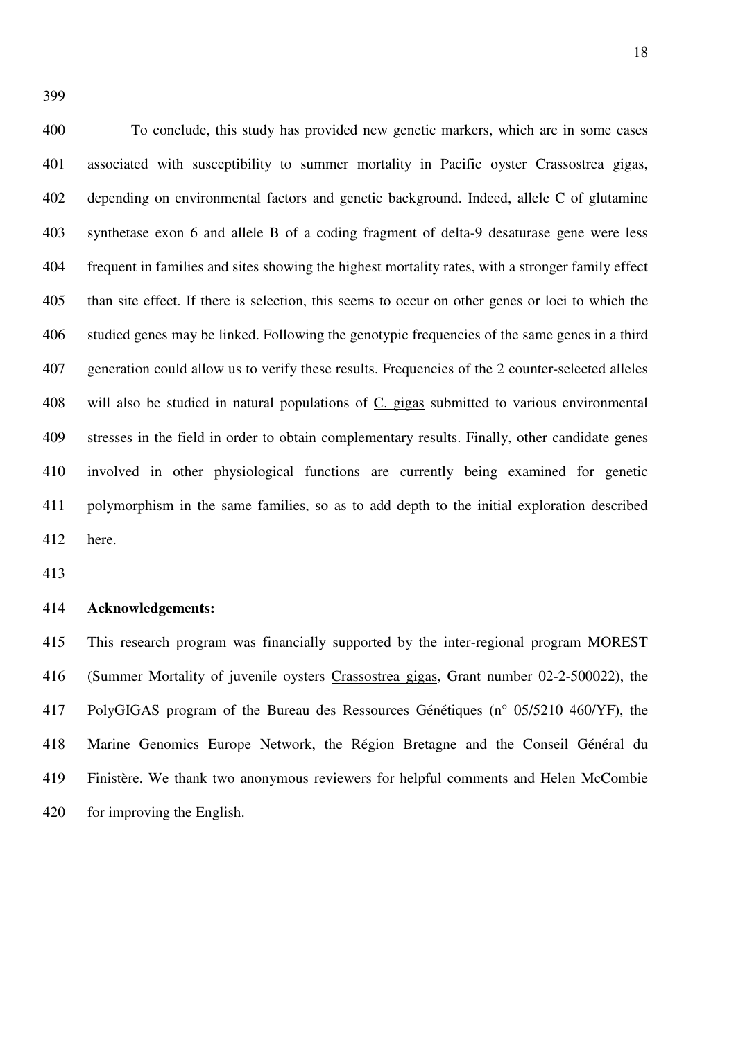400 To conclude, this study has provided new genetic markers, which are in some cases 401 associated with susceptibility to summer mortality in Pacific oyster Crassostrea gigas, 402 depending on environmental factors and genetic background. Indeed, allele C of glutamine 403 synthetase exon 6 and allele B of a coding fragment of delta-9 desaturase gene were less 404 frequent in families and sites showing the highest mortality rates, with a stronger family effect 405 than site effect. If there is selection, this seems to occur on other genes or loci to which the 406 studied genes may be linked. Following the genotypic frequencies of the same genes in a third 407 generation could allow us to verify these results. Frequencies of the 2 counter-selected alleles 408 will also be studied in natural populations of C. gigas submitted to various environmental 409 stresses in the field in order to obtain complementary results. Finally, other candidate genes 410 involved in other physiological functions are currently being examined for genetic 411 polymorphism in the same families, so as to add depth to the initial exploration described 412 here.

413

#### 414 **Acknowledgements:**

415 This research program was financially supported by the inter-regional program MOREST 416 (Summer Mortality of juvenile oysters Crassostrea gigas, Grant number 02-2-500022), the 417 PolyGIGAS program of the Bureau des Ressources Génétiques (n° 05/5210 460/YF), the 418 Marine Genomics Europe Network, the Région Bretagne and the Conseil Général du 419 Finistère. We thank two anonymous reviewers for helpful comments and Helen McCombie 420 for improving the English.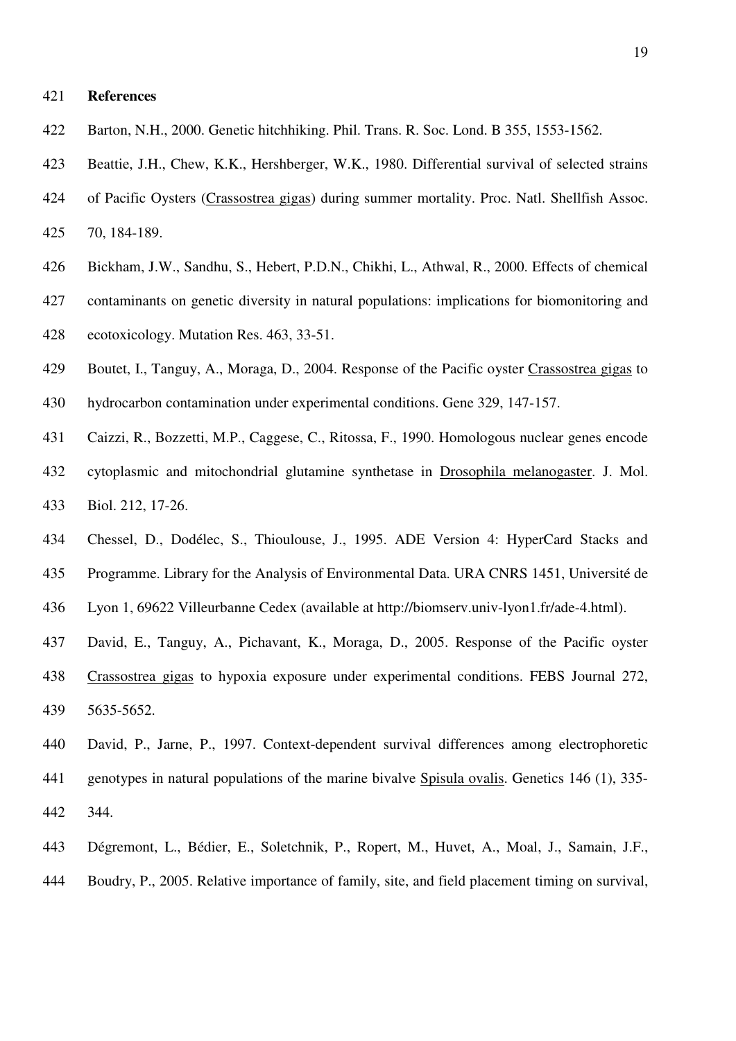#### 421 **References**

- 422 Barton, N.H., 2000. Genetic hitchhiking. Phil. Trans. R. Soc. Lond. B 355, 1553-1562.
- 423 Beattie, J.H., Chew, K.K., Hershberger, W.K., 1980. Differential survival of selected strains
- 424 of Pacific Oysters (Crassostrea gigas) during summer mortality. Proc. Natl. Shellfish Assoc. 425 70, 184-189.
- 426 Bickham, J.W., Sandhu, S., Hebert, P.D.N., Chikhi, L., Athwal, R., 2000. Effects of chemical
- 427 contaminants on genetic diversity in natural populations: implications for biomonitoring and 428 ecotoxicology. Mutation Res. 463, 33-51.
- 429 Boutet, I., Tanguy, A., Moraga, D., 2004. Response of the Pacific oyster Crassostrea gigas to 430 hydrocarbon contamination under experimental conditions. Gene 329, 147-157.
- 431 Caizzi, R., Bozzetti, M.P., Caggese, C., Ritossa, F., 1990. Homologous nuclear genes encode
- 432 cytoplasmic and mitochondrial glutamine synthetase in Drosophila melanogaster. J. Mol. 433 Biol. 212, 17-26.
- 434 Chessel, D., Dodélec, S., Thioulouse, J., 1995. ADE Version 4: HyperCard Stacks and 435 Programme. Library for the Analysis of Environmental Data. URA CNRS 1451, Université de
- 436 Lyon 1, 69622 Villeurbanne Cedex (available at http://biomserv.univ-lyon1.fr/ade-4.html).
- 437 David, E., Tanguy, A., Pichavant, K., Moraga, D., 2005. Response of the Pacific oyster 438 Crassostrea gigas to hypoxia exposure under experimental conditions. FEBS Journal 272, 439 5635-5652.
- 440 David, P., Jarne, P., 1997. Context-dependent survival differences among electrophoretic 441 genotypes in natural populations of the marine bivalve Spisula ovalis. Genetics 146 (1), 335- 442 344.
- 443 Dégremont, L., Bédier, E., Soletchnik, P., Ropert, M., Huvet, A., Moal, J., Samain, J.F., 444 Boudry, P., 2005. Relative importance of family, site, and field placement timing on survival,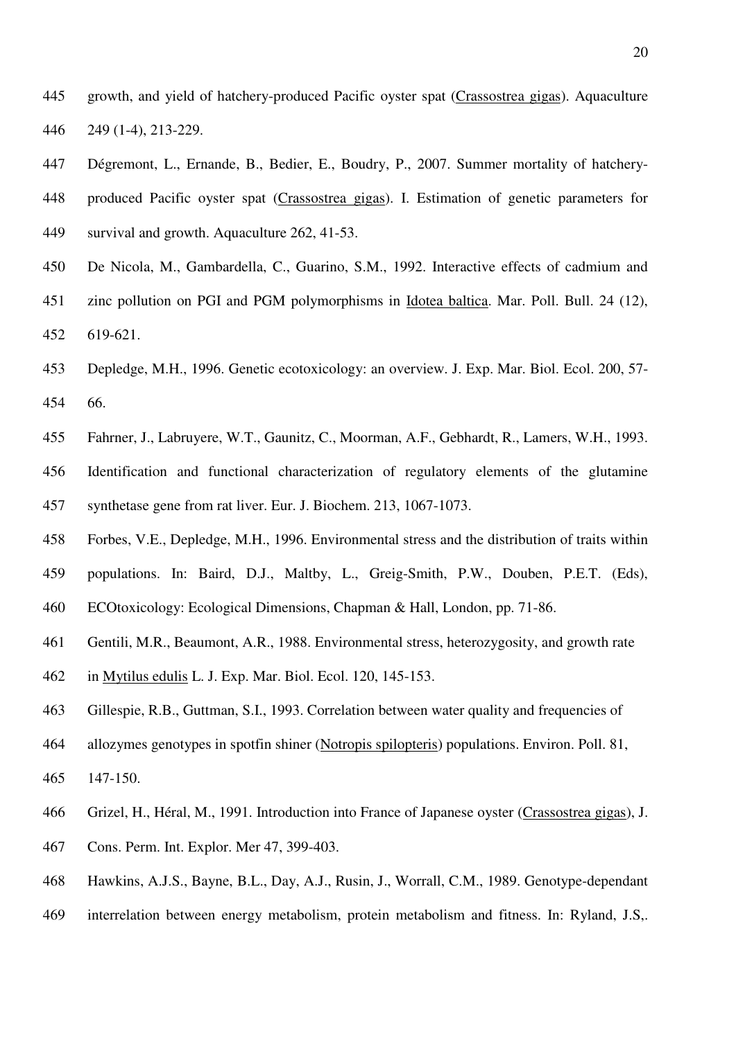- 445 growth, and yield of hatchery-produced Pacific oyster spat (Crassostrea gigas). Aquaculture 446 249 (1-4), 213-229.
- 447 Dégremont, L., Ernande, B., Bedier, E., Boudry, P., 2007. Summer mortality of hatchery-448 produced Pacific oyster spat (Crassostrea gigas). I. Estimation of genetic parameters for 449 survival and growth. Aquaculture 262, 41-53.
- 450 De Nicola, M., Gambardella, C., Guarino, S.M., 1992. Interactive effects of cadmium and 451 zinc pollution on PGI and PGM polymorphisms in Idotea baltica. Mar. Poll. Bull. 24 (12), 452 619-621.
- 453 Depledge, M.H., 1996. Genetic ecotoxicology: an overview. J. Exp. Mar. Biol. Ecol. 200, 57- 66. 454
- 455 Fahrner, J., Labruyere, W.T., Gaunitz, C., Moorman, A.F., Gebhardt, R., Lamers, W.H., 1993. 456 Identification and functional characterization of regulatory elements of the glutamine 457 synthetase gene from rat liver. Eur. J. Biochem. 213, 1067-1073.
- 458 Forbes, V.E., Depledge, M.H., 1996. Environmental stress and the distribution of traits within
- 459 populations. In: Baird, D.J., Maltby, L., Greig-Smith, P.W., Douben, P.E.T. (Eds),
- 460 ECOtoxicology: Ecological Dimensions, Chapman & Hall, London, pp. 71-86.
- 461 Gentili, M.R., Beaumont, A.R., 1988. Environmental stress, heterozygosity, and growth rate
- 462 in Mytilus edulis L. J. Exp. Mar. Biol. Ecol. 120, 145-153.
- 463 Gillespie, R.B., Guttman, S.I., 1993. Correlation between water quality and frequencies of
- 464 allozymes genotypes in spotfin shiner (Notropis spilopteris) populations. Environ. Poll. 81,
- 465 147-150.
- 466 Grizel, H., Héral, M., 1991. Introduction into France of Japanese oyster (Crassostrea gigas), J.
- 467 Cons. Perm. Int. Explor. Mer 47, 399-403.
- 468 Hawkins, A.J.S., Bayne, B.L., Day, A.J., Rusin, J., Worrall, C.M., 1989. Genotype-dependant
- 469 interrelation between energy metabolism, protein metabolism and fitness. In: Ryland, J.S,.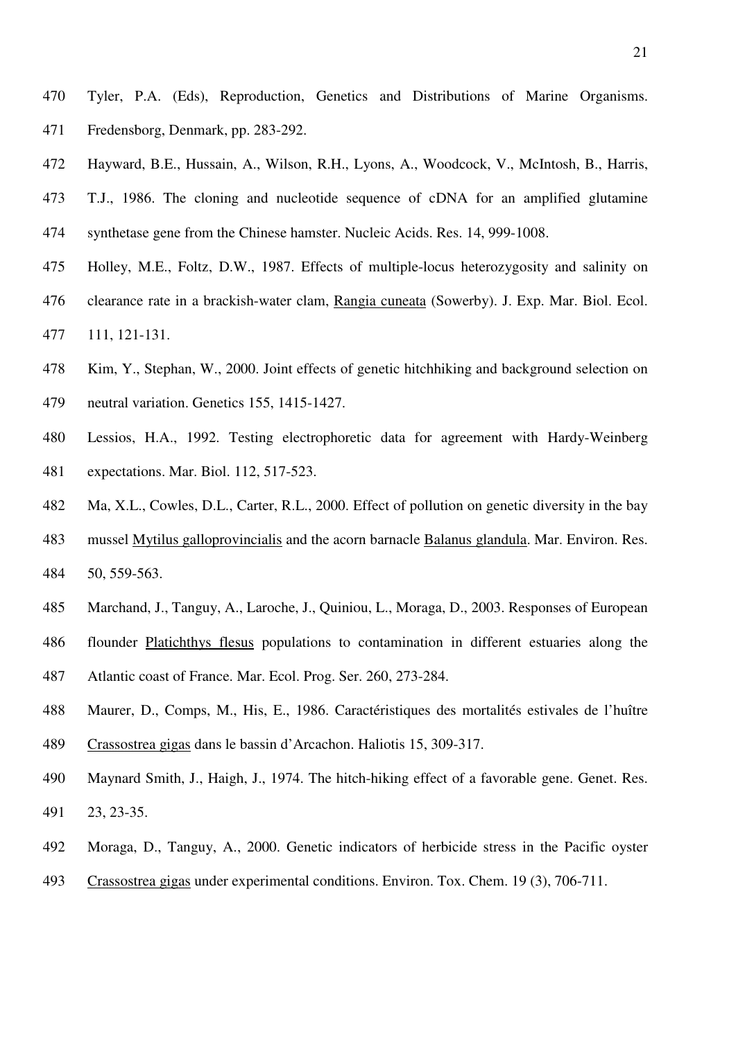- 470 Tyler, P.A. (Eds), Reproduction, Genetics and Distributions of Marine Organisms. 471 Fredensborg, Denmark, pp. 283-292.
- 472 Hayward, B.E., Hussain, A., Wilson, R.H., Lyons, A., Woodcock, V., McIntosh, B., Harris, 473 T.J., 1986. The cloning and nucleotide sequence of cDNA for an amplified glutamine 474 synthetase gene from the Chinese hamster. Nucleic Acids. Res. 14, 999-1008.
- 475 Holley, M.E., Foltz, D.W., 1987. Effects of multiple-locus heterozygosity and salinity on 476 clearance rate in a brackish-water clam, Rangia cuneata (Sowerby). J. Exp. Mar. Biol. Ecol. 477 111, 121-131.
- 478 Kim, Y., Stephan, W., 2000. Joint effects of genetic hitchhiking and background selection on
- 479 neutral variation. Genetics 155, 1415-1427.
- 480 Lessios, H.A., 1992. Testing electrophoretic data for agreement with Hardy-Weinberg 481 expectations. Mar. Biol. 112, 517-523.
- 482 Ma, X.L., Cowles, D.L., Carter, R.L., 2000. Effect of pollution on genetic diversity in the bay
- 483 mussel Mytilus galloprovincialis and the acorn barnacle Balanus glandula. Mar. Environ. Res. 484 50, 559-563.
- 485 Marchand, J., Tanguy, A., Laroche, J., Quiniou, L., Moraga, D., 2003. Responses of European
- 486 flounder Platichthys flesus populations to contamination in different estuaries along the
- 487 Atlantic coast of France. Mar. Ecol. Prog. Ser. 260, 273-284.
- 488 Maurer, D., Comps, M., His, E., 1986. Caractéristiques des mortalités estivales de l'huître 489 Crassostrea gigas dans le bassin d'Arcachon. Haliotis 15, 309-317.
- 490 Maynard Smith, J., Haigh, J., 1974. The hitch-hiking effect of a favorable gene. Genet. Res. 491 23, 23-35.
- 492 Moraga, D., Tanguy, A., 2000. Genetic indicators of herbicide stress in the Pacific oyster
- 493 Crassostrea gigas under experimental conditions. Environ. Tox. Chem. 19 (3), 706-711.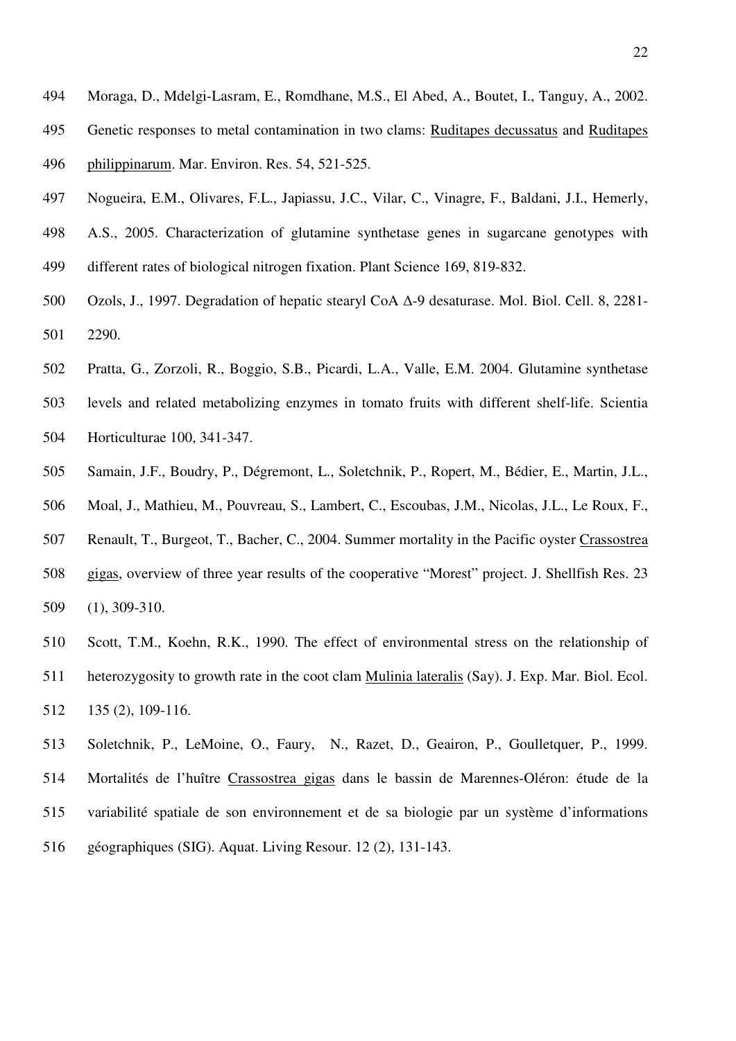- 494 Moraga, D., Mdelgi-Lasram, E., Romdhane, M.S., El Abed, A., Boutet, I., Tanguy, A., 2002.
- 495 Genetic responses to metal contamination in two clams: Ruditapes decussatus and Ruditapes 496 philippinarum. Mar. Environ. Res. 54, 521-525.
- 497 Nogueira, E.M., Olivares, F.L., Japiassu, J.C., Vilar, C., Vinagre, F., Baldani, J.I., Hemerly,
- 498 A.S., 2005. Characterization of glutamine synthetase genes in sugarcane genotypes with 499 different rates of biological nitrogen fixation. Plant Science 169, 819-832.
- 500 Ozols, J., 1997. Degradation of hepatic stearyl CoA ∆-9 desaturase. Mol. Biol. Cell. 8, 2281- 501 2290.
- 502 Pratta, G., Zorzoli, R., Boggio, S.B., Picardi, L.A., Valle, E.M. 2004. Glutamine synthetase
- 503 levels and related metabolizing enzymes in tomato fruits with different shelf-life. Scientia 504 Horticulturae 100, 341-347.
- 505 Samain, J.F., Boudry, P., Dégremont, L., Soletchnik, P., Ropert, M., Bédier, E., Martin, J.L.,
- 506 Moal, J., Mathieu, M., Pouvreau, S., Lambert, C., Escoubas, J.M., Nicolas, J.L., Le Roux, F.,
- 507 Renault, T., Burgeot, T., Bacher, C., 2004. Summer mortality in the Pacific oyster Crassostrea 508 gigas, overview of three year results of the cooperative "Morest" project. J. Shellfish Res. 23 509 (1), 309-310.
- 510 Scott, T.M., Koehn, R.K., 1990. The effect of environmental stress on the relationship of
- 511 heterozygosity to growth rate in the coot clam Mulinia lateralis (Say). J. Exp. Mar. Biol. Ecol. 512 135 (2), 109-116.
- 513 Soletchnik, P., LeMoine, O., Faury, N., Razet, D., Geairon, P., Goulletquer, P., 1999. 514 Mortalités de l'huître Crassostrea gigas dans le bassin de Marennes-Oléron: étude de la 515 variabilité spatiale de son environnement et de sa biologie par un système d'informations 516 géographiques (SIG). Aquat. Living Resour. 12 (2), 131-143.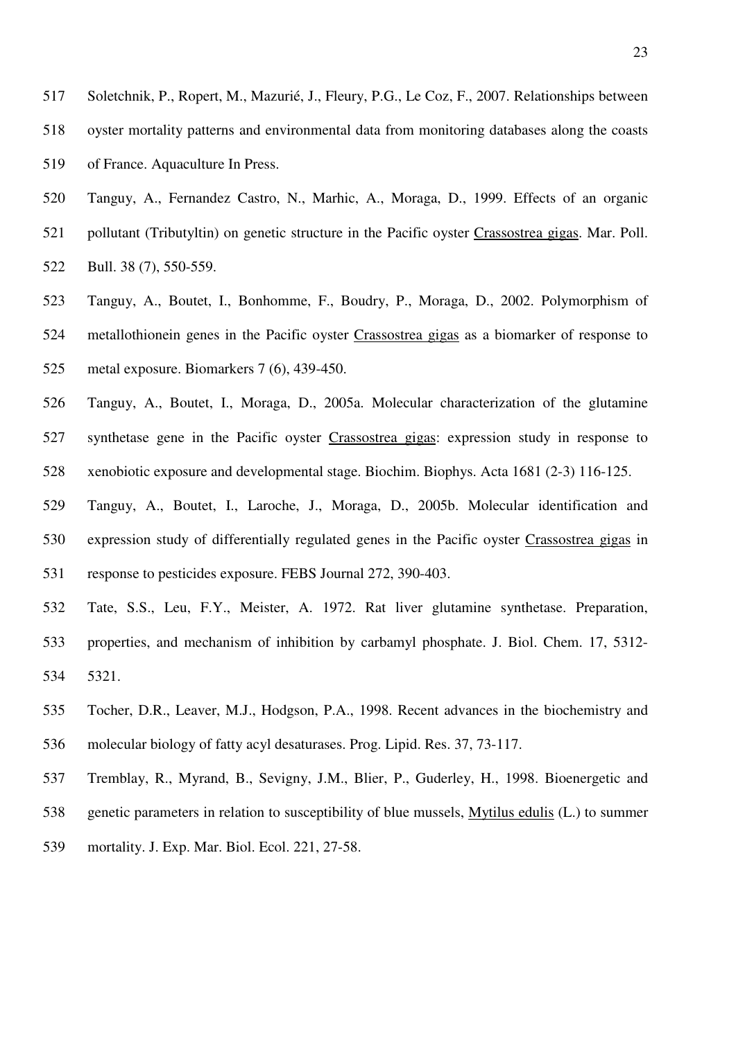- 517 Soletchnik, P., Ropert, M., Mazurié, J., Fleury, P.G., Le Coz, F., 2007. Relationships between 518 oyster mortality patterns and environmental data from monitoring databases along the coasts 519 of France. Aquaculture In Press.
- 520 Tanguy, A., Fernandez Castro, N., Marhic, A., Moraga, D., 1999. Effects of an organic 521 pollutant (Tributyltin) on genetic structure in the Pacific oyster Crassostrea gigas. Mar. Poll.
- 522 Bull. 38 (7), 550-559.
- 523 Tanguy, A., Boutet, I., Bonhomme, F., Boudry, P., Moraga, D., 2002. Polymorphism of 524 metallothionein genes in the Pacific oyster Crassostrea gigas as a biomarker of response to 525 metal exposure. Biomarkers 7 (6), 439-450.
- 526 Tanguy, A., Boutet, I., Moraga, D., 2005a. Molecular characterization of the glutamine 527 synthetase gene in the Pacific oyster Crassostrea gigas: expression study in response to 528 xenobiotic exposure and developmental stage. Biochim. Biophys. Acta 1681 (2-3) 116-125.
- 529 Tanguy, A., Boutet, I., Laroche, J., Moraga, D., 2005b. Molecular identification and 530 expression study of differentially regulated genes in the Pacific oyster Crassostrea gigas in 531 response to pesticides exposure. FEBS Journal 272, 390-403.
- 532 Tate, S.S., Leu, F.Y., Meister, A. 1972. Rat liver glutamine synthetase. Preparation, 533 properties, and mechanism of inhibition by carbamyl phosphate. J. Biol. Chem. 17, 5312- 534 5321.
- 535 Tocher, D.R., Leaver, M.J., Hodgson, P.A., 1998. Recent advances in the biochemistry and 536 molecular biology of fatty acyl desaturases. Prog. Lipid. Res. 37, 73-117.
- 537 Tremblay, R., Myrand, B., Sevigny, J.M., Blier, P., Guderley, H., 1998. Bioenergetic and 538 genetic parameters in relation to susceptibility of blue mussels, Mytilus edulis (L.) to summer
- 539 mortality. J. Exp. Mar. Biol. Ecol. 221, 27-58.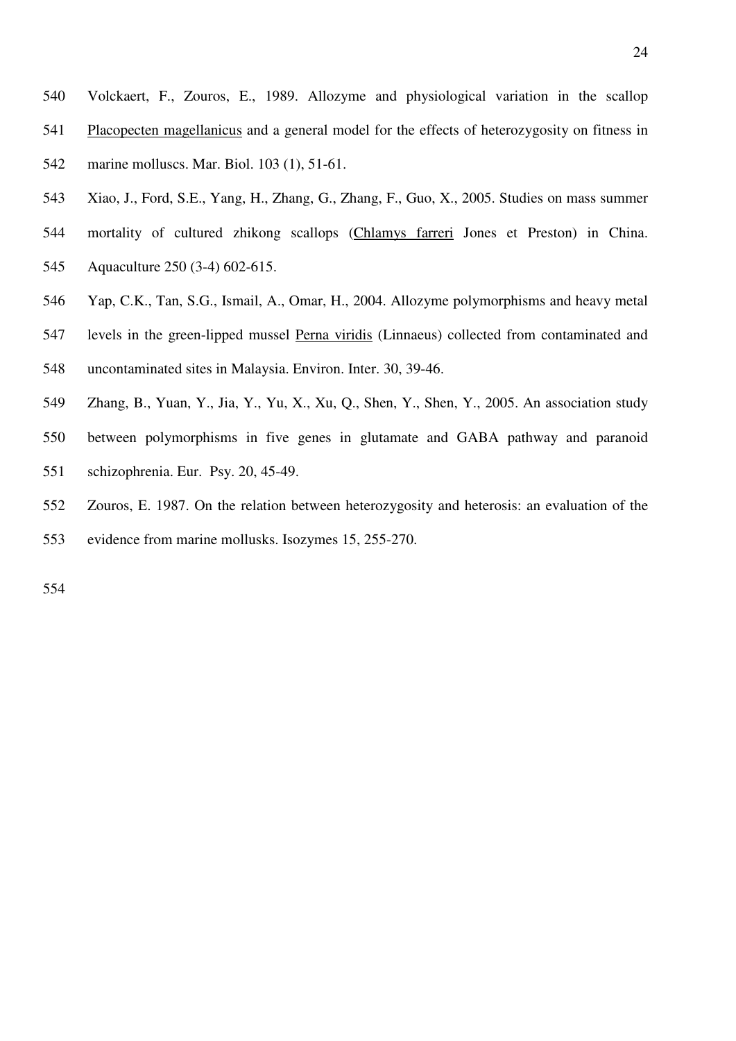- 540 Volckaert, F., Zouros, E., 1989. Allozyme and physiological variation in the scallop 541 Placopecten magellanicus and a general model for the effects of heterozygosity on fitness in 542 marine molluscs. Mar. Biol. 103 (1), 51-61.
- 543 Xiao, J., Ford, S.E., Yang, H., Zhang, G., Zhang, F., Guo, X., 2005. Studies on mass summer
- 544 mortality of cultured zhikong scallops (Chlamys farreri Jones et Preston) in China. 545 Aquaculture 250 (3-4) 602-615.
- 546 Yap, C.K., Tan, S.G., Ismail, A., Omar, H., 2004. Allozyme polymorphisms and heavy metal
- 547 levels in the green-lipped mussel Perna viridis (Linnaeus) collected from contaminated and 548 uncontaminated sites in Malaysia. Environ. Inter. 30, 39-46.
- 549 Zhang, B., Yuan, Y., Jia, Y., Yu, X., Xu, Q., Shen, Y., Shen, Y., 2005. An association study
- 550 between polymorphisms in five genes in glutamate and GABA pathway and paranoid 551 schizophrenia. Eur. Psy. 20, 45-49.
- 552 Zouros, E. 1987. On the relation between heterozygosity and heterosis: an evaluation of the 553 evidence from marine mollusks. Isozymes 15, 255-270.

554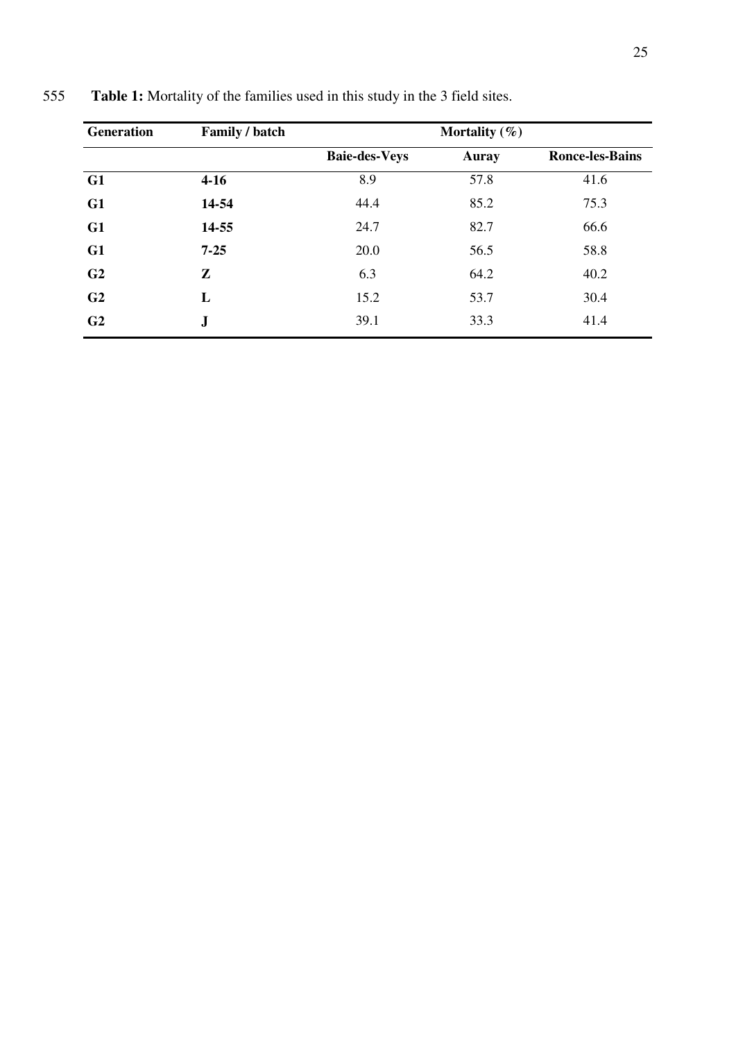| <b>Generation</b> | Family / batch |                      | Mortality $(\%)$ |                        |
|-------------------|----------------|----------------------|------------------|------------------------|
|                   |                | <b>Baie-des-Veys</b> | <b>Auray</b>     | <b>Ronce-les-Bains</b> |
| G1                | $4-16$         | 8.9                  | 57.8             | 41.6                   |
| G1                | 14-54          | 44.4                 | 85.2             | 75.3                   |
| G1                | 14-55          | 24.7                 | 82.7             | 66.6                   |
| G1                | $7 - 25$       | 20.0                 | 56.5             | 58.8                   |
| G <sub>2</sub>    | Z              | 6.3                  | 64.2             | 40.2                   |
| G <sub>2</sub>    | L              | 15.2                 | 53.7             | 30.4                   |
| G <sub>2</sub>    | ${\bf J}$      | 39.1                 | 33.3             | 41.4                   |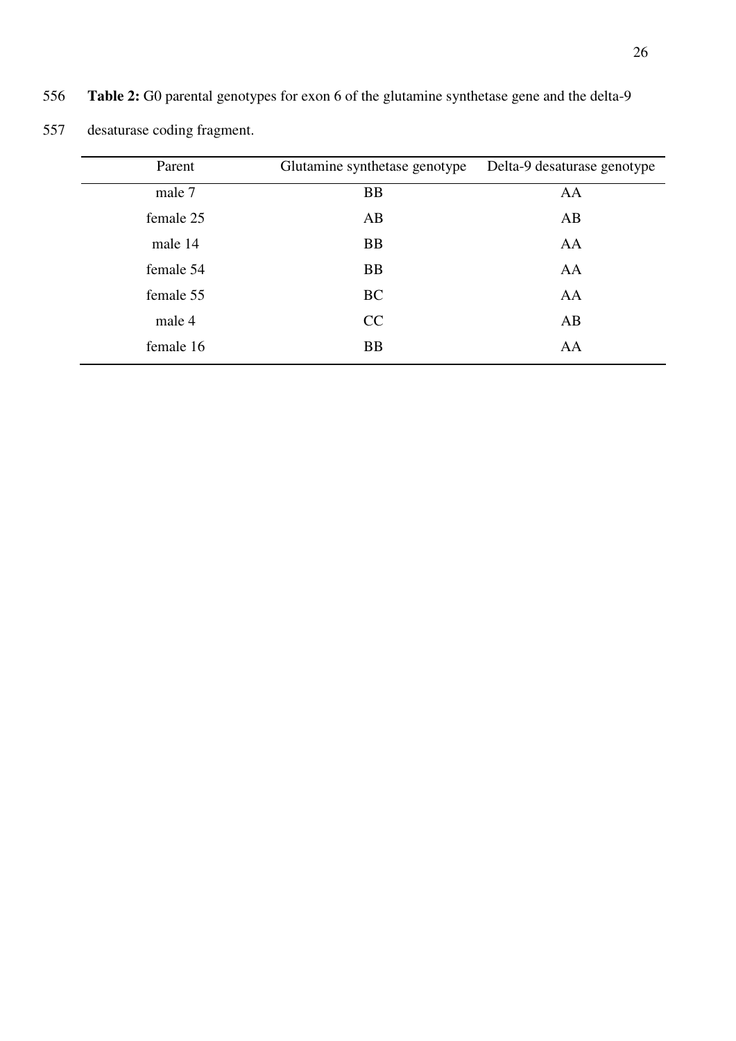| 557 | desaturase coding fragment. |                               |                             |
|-----|-----------------------------|-------------------------------|-----------------------------|
|     | Parent                      | Glutamine synthetase genotype | Delta-9 desaturase genotype |
|     | male 7                      | <b>BB</b>                     | AA                          |
|     | female 25                   | AB                            | AB                          |
|     | male 14                     | <b>BB</b>                     | AA                          |
|     | female 54                   | <b>BB</b>                     | AA                          |
|     | female 55                   | <b>BC</b>                     | AA                          |
|     | male 4                      | CC                            | AB                          |
|     | female 16                   | <b>BB</b>                     | AA                          |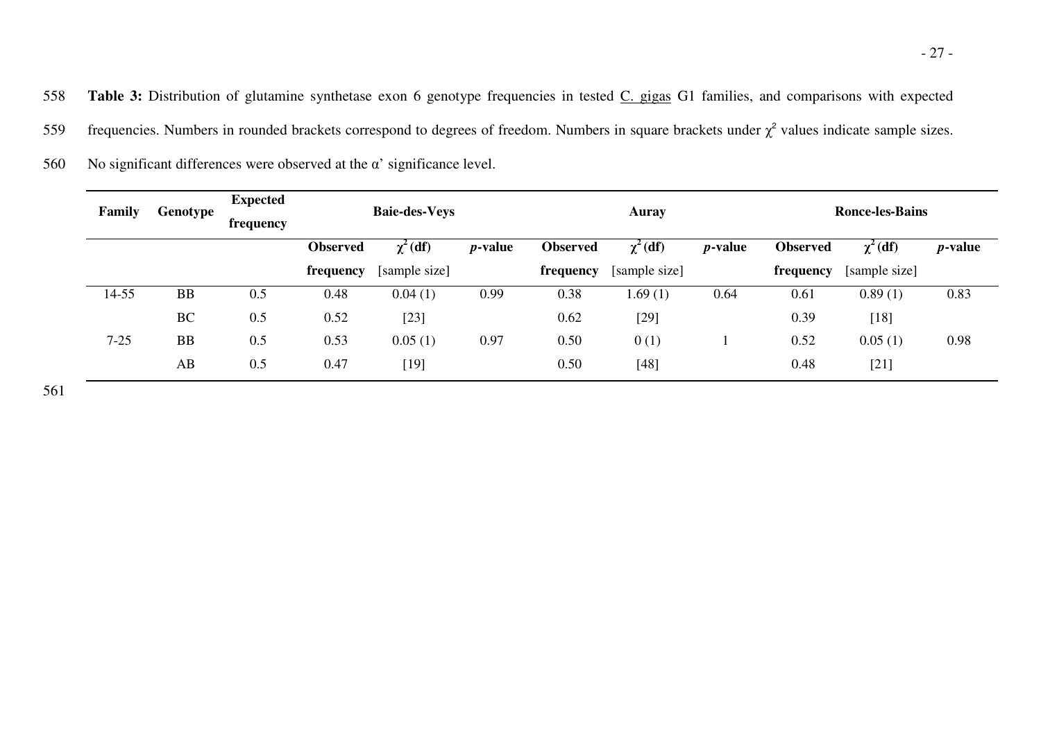559 frequencies. Numbers in rounded brackets correspond to degrees of freedom. Numbers in square brackets under  $\chi^2$  values indicate sample sizes.

| Family   | Genotype  | <b>Expected</b><br>frequency | <b>Baie-des-Veys</b> |               | Auray           |                 |               | <b>Ronce-les-Bains</b> |                 |               |                 |
|----------|-----------|------------------------------|----------------------|---------------|-----------------|-----------------|---------------|------------------------|-----------------|---------------|-----------------|
|          |           |                              | <b>Observed</b>      | $\chi^2$ (df) | <i>p</i> -value | <b>Observed</b> | $\chi^2$ (df) | <i>p</i> -value        | <b>Observed</b> | $\chi^2$ (df) | <i>p</i> -value |
|          |           |                              | frequency            | [sample size] |                 | frequency       | [sample size] |                        | frequency       | [sample size] |                 |
| 14-55    | <b>BB</b> | 0.5                          | 0.48                 | 0.04(1)       | 0.99            | 0.38            | 1.69(1)       | 0.64                   | 0.61            | 0.89(1)       | 0.83            |
|          | <b>BC</b> | 0.5                          | 0.52                 | $[23]$        |                 | 0.62            | $[29]$        |                        | 0.39            | $[18]$        |                 |
| $7 - 25$ | BB        | 0.5                          | 0.53                 | 0.05(1)       | 0.97            | 0.50            | 0(1)          |                        | 0.52            | 0.05(1)       | 0.98            |
|          | AB        | 0.5                          | 0.47                 | $[19]$        |                 | 0.50            | $[48]$        |                        | 0.48            | $[21]$        |                 |

560 No significant differences were observed at the  $\alpha'$  significance level.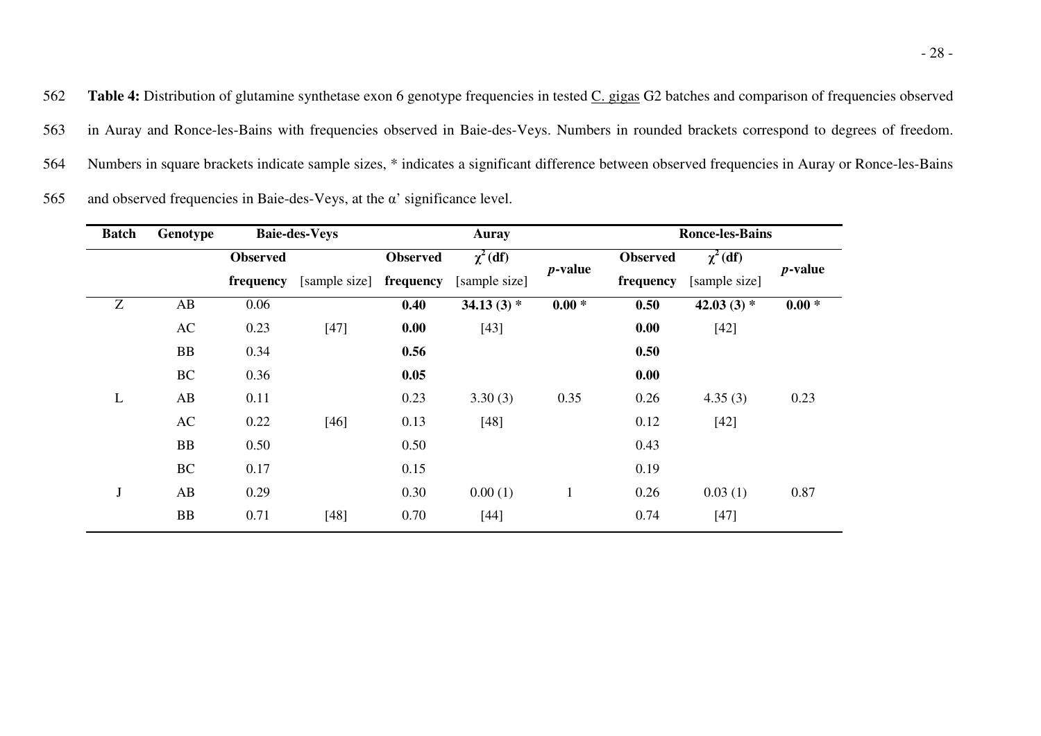562 Table 4: Distribution of glutamine synthetase exon 6 genotype frequencies in tested C. gigas G2 batches and comparison of frequencies observed 563 in Auray and Ronce-les-Bains with frequencies observed in Baie-des-Veys. Numbers in rounded brackets correspond to degrees of freedom. 564 Numbers in square brackets indicate sample sizes, \* indicates a significant difference between observed frequencies in Auray or Ronce-les-Bains 565 and observed frequencies in Baie-des-Veys, at the  $\alpha'$  significance level.

| <b>Batch</b> | Genotype  |                 | <b>Baie-des-Veys</b> | Auray           |               |              |                 | <b>Ronce-les-Bains</b> |            |  |
|--------------|-----------|-----------------|----------------------|-----------------|---------------|--------------|-----------------|------------------------|------------|--|
|              |           | <b>Observed</b> |                      | <b>Observed</b> | $\chi^2$ (df) | $p$ -value   | <b>Observed</b> | $\chi^2$ (df)          | $p$ -value |  |
|              |           | frequency       | [sample size]        | frequency       | [sample size] |              | frequency       | [sample size]          |            |  |
| Z            | AB        | 0.06            |                      | 0.40            | 34.13 $(3)$ * | $0.00 *$     | 0.50            | 42.03 $(3)$ *          | $0.00 *$   |  |
|              | AC        | 0.23            | $[47]$               | 0.00            | $[43]$        |              | 0.00            | $[42]$                 |            |  |
|              | <b>BB</b> | 0.34            |                      | 0.56            |               |              | 0.50            |                        |            |  |
|              | BC        | 0.36            |                      | 0.05            |               |              | 0.00            |                        |            |  |
| L            | AB        | 0.11            |                      | 0.23            | 3.30(3)       | 0.35         | 0.26            | 4.35(3)                | 0.23       |  |
|              | AC        | 0.22            | $[46]$               | 0.13            | $[48]$        |              | 0.12            | $[42]$                 |            |  |
|              | <b>BB</b> | 0.50            |                      | 0.50            |               |              | 0.43            |                        |            |  |
|              | <b>BC</b> | 0.17            |                      | 0.15            |               |              | 0.19            |                        |            |  |
| $\bf J$      | AB        | 0.29            |                      | 0.30            | 0.00(1)       | $\mathbf{1}$ | 0.26            | 0.03(1)                | 0.87       |  |
|              | BB        | 0.71            | $[48]$               | 0.70            | $[44]$        |              | 0.74            | $[47]$                 |            |  |
|              |           |                 |                      |                 |               |              |                 |                        |            |  |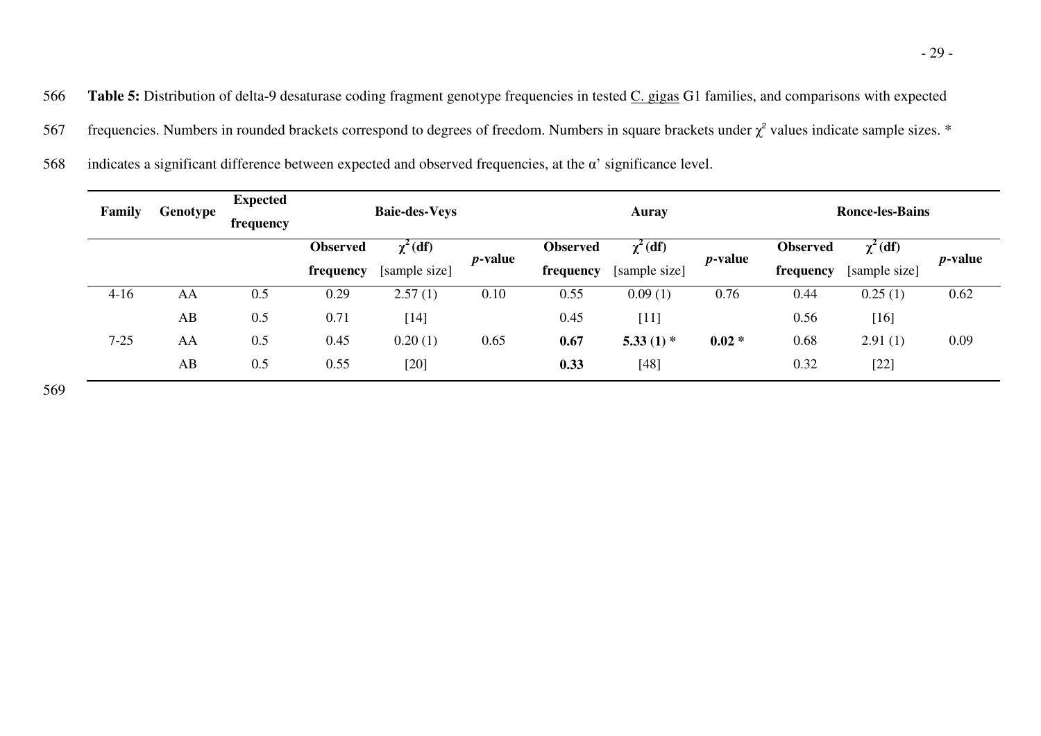567 frequencies. Numbers in rounded brackets correspond to degrees of freedom. Numbers in square brackets under  $\chi^2$  values indicate sample sizes. \*

|  | 568 indicates a significant difference between expected and observed frequencies, at the $\alpha'$ significance level. |  |  |  |  |  |
|--|------------------------------------------------------------------------------------------------------------------------|--|--|--|--|--|
|--|------------------------------------------------------------------------------------------------------------------------|--|--|--|--|--|

| Family   | Genotype | <b>Expected</b><br>frequency |                 | <b>Baie-des-Veys</b> |                 |                 | Auray         |                 |                 | <b>Ronce-les-Bains</b> |                 |
|----------|----------|------------------------------|-----------------|----------------------|-----------------|-----------------|---------------|-----------------|-----------------|------------------------|-----------------|
|          |          |                              | <b>Observed</b> | $\chi^2$ (df)        | <i>p</i> -value | <b>Observed</b> | $\chi^2$ (df) | <i>p</i> -value | <b>Observed</b> | $\chi^2$ (df)          | <i>p</i> -value |
|          |          |                              | frequency       | [sample size]        |                 | frequency       | [sample size] |                 | frequency       | [sample size]          |                 |
| $4-16$   | AA       | 0.5                          | 0.29            | 2.57(1)              | 0.10            | 0.55            | 0.09(1)       | 0.76            | 0.44            | 0.25(1)                | 0.62            |
|          | AB       | 0.5                          | 0.71            | $[14]$               |                 | 0.45            | $[11]$        |                 | 0.56            | $[16]$                 |                 |
| $7 - 25$ | AA       | 0.5                          | 0.45            | 0.20(1)              | 0.65            | 0.67            | 5.33 $(1)$ *  | $0.02 *$        | 0.68            | 2.91(1)                | 0.09            |
|          | AB       | 0.5                          | 0.55            | $[20]$               |                 | 0.33            | $[48]$        |                 | 0.32            | $[22]$                 |                 |

569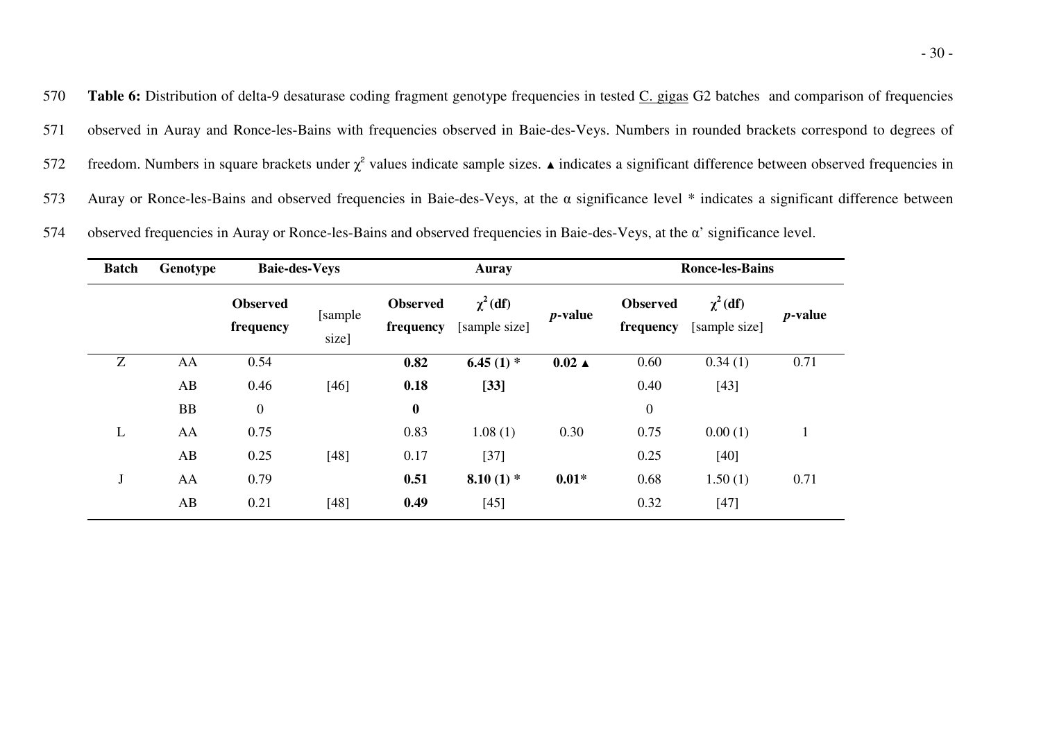570 **Table 6:** Distribution of delta-9 desaturase coding fragment genotype frequencies in tested C. gigas G2 batches and comparison of frequencies 571 observed in Auray and Ronce-les-Bains with frequencies observed in Baie-des-Veys. Numbers in rounded brackets correspond to degrees of freedom. Numbers in square brackets under  $\chi^2$  values indicate sample sizes.  $\blacktriangle$  indicates a significant difference between observed frequencies in 573 Auray or Ronce-les-Bains and observed frequencies in Baie-des-Veys, at the  $\alpha$  significance level  $*$  indicates a significant difference between

| <b>Batch</b> | Genotype  |                              | <b>Baie-des-Veys</b> |                              | Auray                          |                  |                              | <b>Ronce-les-Bains</b>         |                 |  |  |
|--------------|-----------|------------------------------|----------------------|------------------------------|--------------------------------|------------------|------------------------------|--------------------------------|-----------------|--|--|
|              |           | <b>Observed</b><br>frequency | [sample]<br>size]    | <b>Observed</b><br>frequency | $\chi^2$ (df)<br>[sample size] | <i>p</i> -value  | <b>Observed</b><br>frequency | $\chi^2$ (df)<br>[sample size] | <i>p</i> -value |  |  |
| Z            | AA        | 0.54                         |                      | 0.82                         | 6.45 $(1)$ *                   | $0.02 \triangle$ | 0.60                         | 0.34(1)                        | 0.71            |  |  |
|              | AB        | 0.46                         | $[46]$               | 0.18                         | $[33]$                         |                  | 0.40                         | $[43]$                         |                 |  |  |
|              | <b>BB</b> | $\mathbf{0}$                 |                      | $\boldsymbol{0}$             |                                |                  | $\boldsymbol{0}$             |                                |                 |  |  |
| L            | AA        | 0.75                         |                      | 0.83                         | 1.08(1)                        | 0.30             | 0.75                         | 0.00(1)                        |                 |  |  |
|              | AB        | 0.25                         | $[48]$               | 0.17                         | $[37]$                         |                  | 0.25                         | $[40]$                         |                 |  |  |
| $\bf J$      | AA        | 0.79                         |                      | 0.51                         | $8.10(1)$ *                    | $0.01*$          | 0.68                         | 1.50(1)                        | 0.71            |  |  |
|              | AB        | 0.21                         | $[48]$               | 0.49                         | $[45]$                         |                  | 0.32                         | $[47]$                         |                 |  |  |

574 observed frequencies in Auray or Ronce-les-Bains and observed frequencies in Baie-des-Veys, at the α' significance level.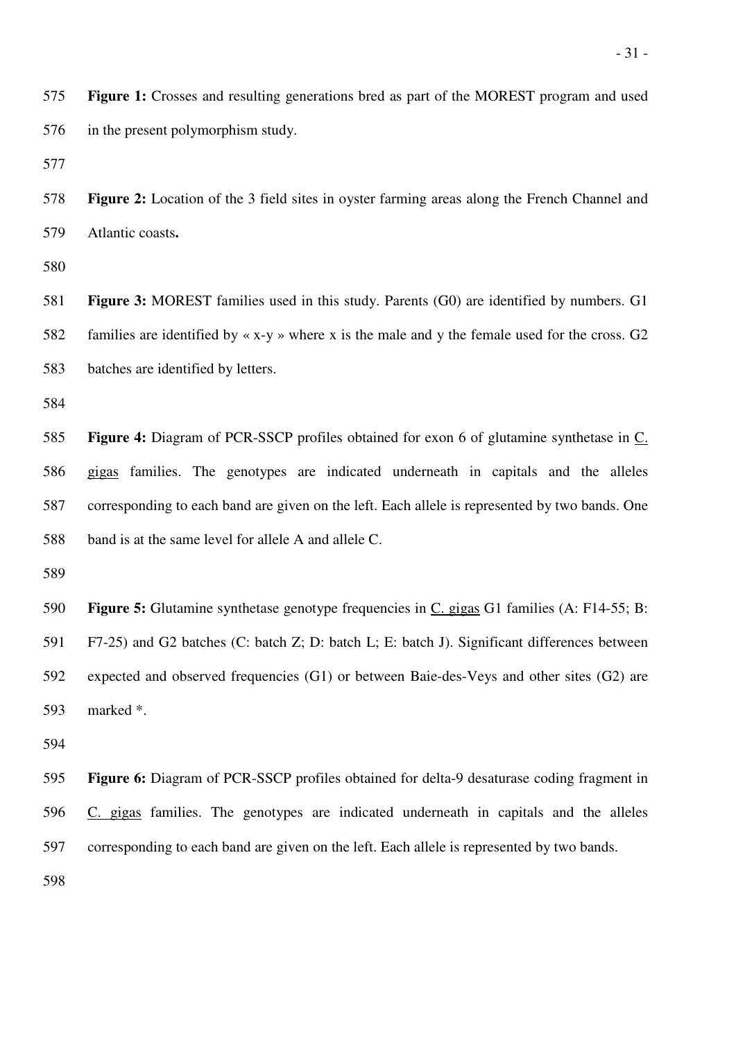575 **Figure 1:** Crosses and resulting generations bred as part of the MOREST program and used 576 in the present polymorphism study.

577

578 **Figure 2:** Location of the 3 field sites in oyster farming areas along the French Channel and 579 Atlantic coasts**.** 

580

581 **Figure 3:** MOREST families used in this study. Parents (G0) are identified by numbers. G1 582 families are identified by  $\langle x-y \rangle$  where x is the male and y the female used for the cross. G2 583 batches are identified by letters.

584

585 **Figure 4:** Diagram of PCR-SSCP profiles obtained for exon 6 of glutamine synthetase in C. 586 gigas families. The genotypes are indicated underneath in capitals and the alleles 587 corresponding to each band are given on the left. Each allele is represented by two bands. One 588 band is at the same level for allele A and allele C.

589

590 **Figure 5:** Glutamine synthetase genotype frequencies in C. gigas G1 families (A: F14-55; B: 591 F7-25) and G2 batches (C: batch Z; D: batch L; E: batch J). Significant differences between 592 expected and observed frequencies (G1) or between Baie-des-Veys and other sites (G2) are 593 marked \*.

594

595 **Figure 6:** Diagram of PCR-SSCP profiles obtained for delta-9 desaturase coding fragment in 596 C. gigas families. The genotypes are indicated underneath in capitals and the alleles 597 corresponding to each band are given on the left. Each allele is represented by two bands.

598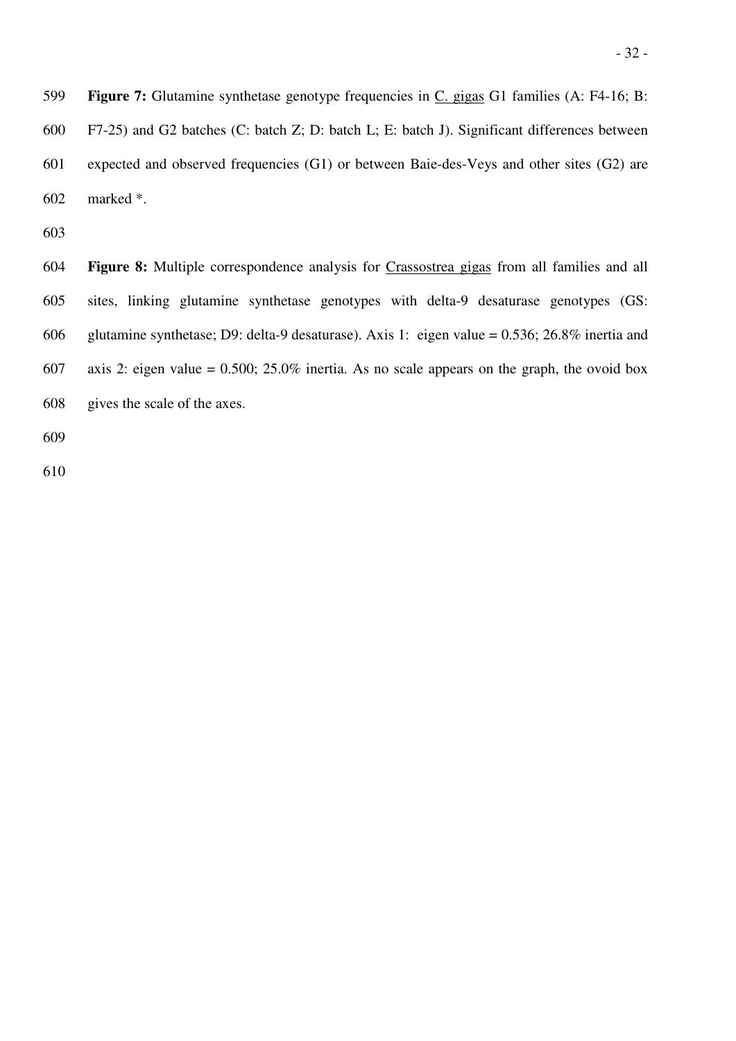599 **Figure 7:** Glutamine synthetase genotype frequencies in C. gigas G1 families (A: F4-16; B: 600 F7-25) and G2 batches (C: batch Z; D: batch L; E: batch J). Significant differences between 601 expected and observed frequencies (G1) or between Baie-des-Veys and other sites (G2) are 602 marked \*.

603

604 **Figure 8:** Multiple correspondence analysis for Crassostrea gigas from all families and all 605 sites, linking glutamine synthetase genotypes with delta-9 desaturase genotypes (GS: 606 glutamine synthetase; D9: delta-9 desaturase). Axis 1: eigen value = 0.536; 26.8% inertia and 607 axis 2: eigen value =  $0.500$ ;  $25.0\%$  inertia. As no scale appears on the graph, the ovoid box 608 gives the scale of the axes.

609

610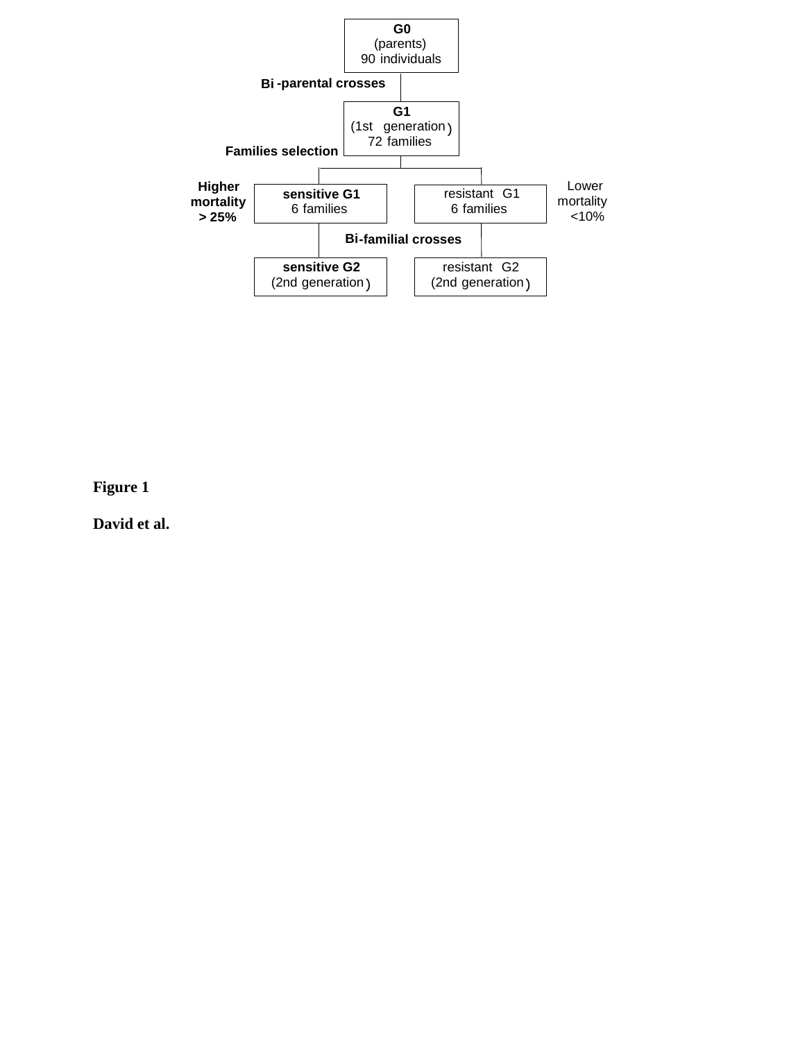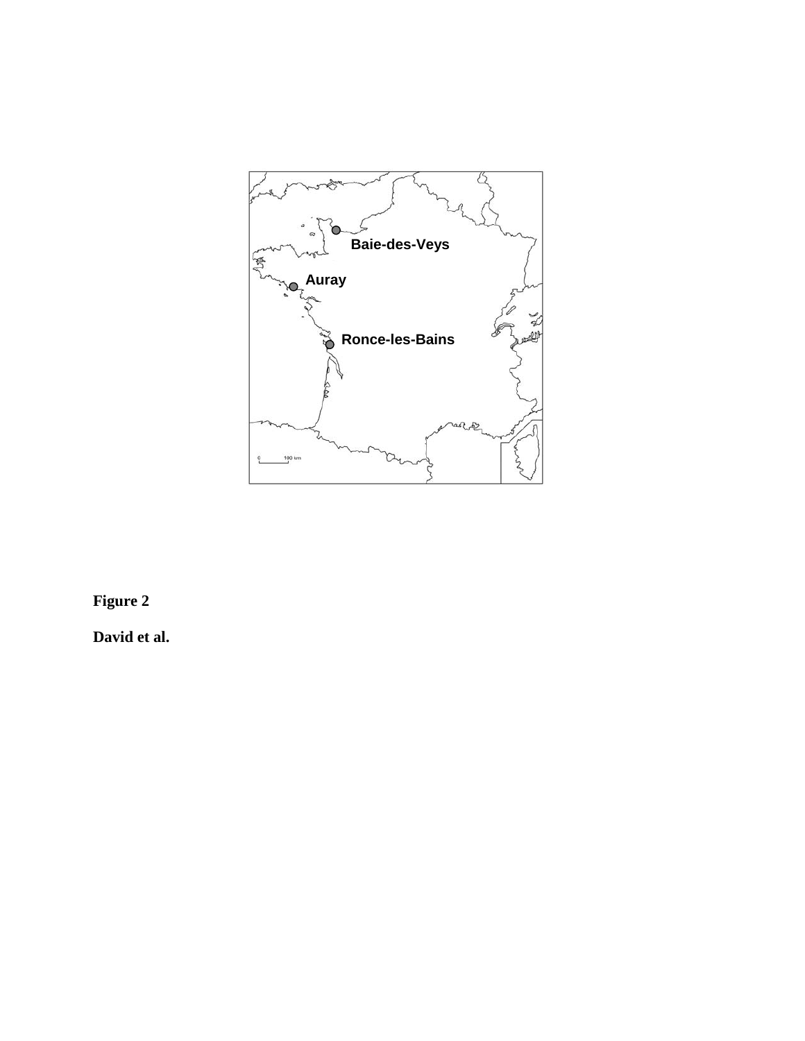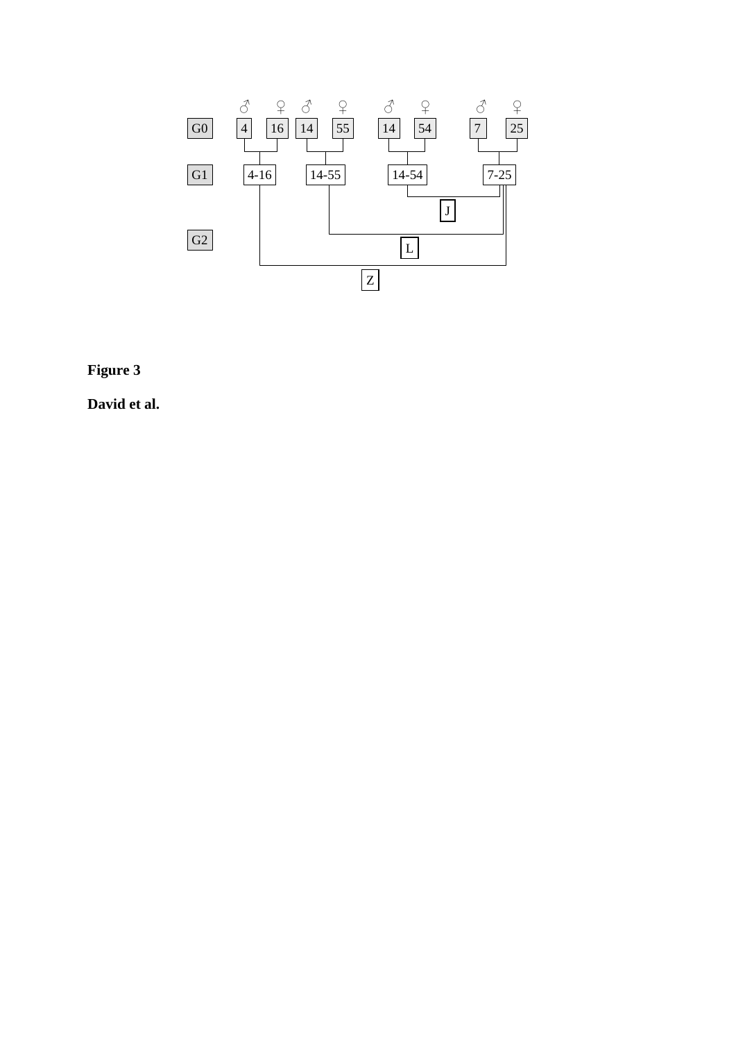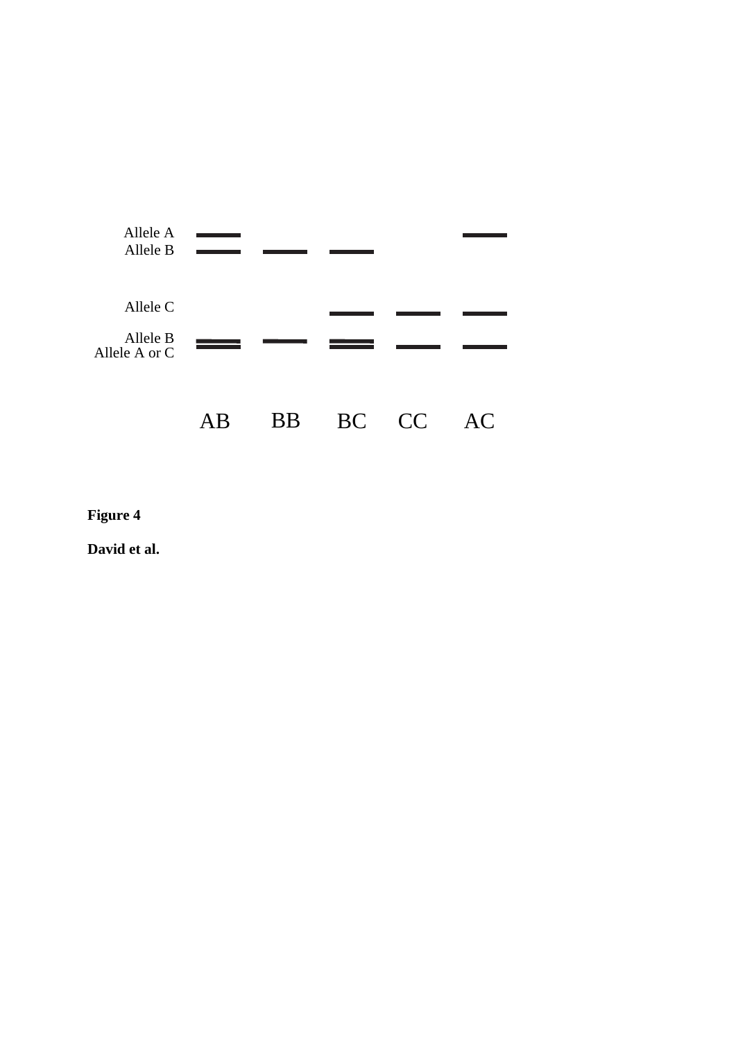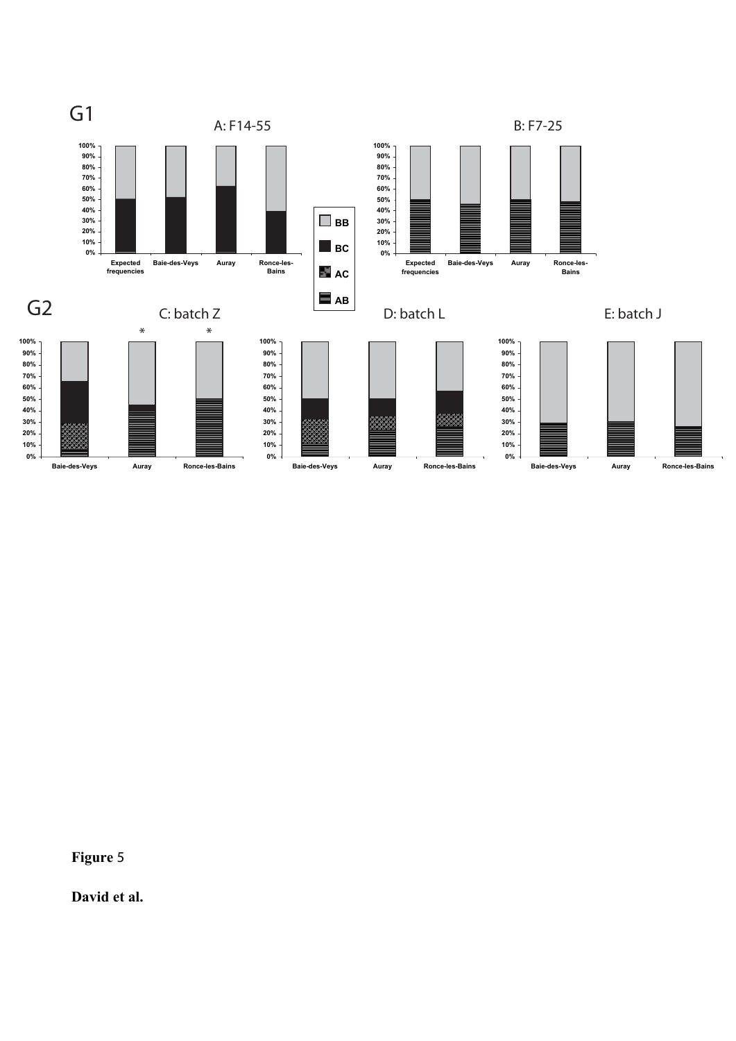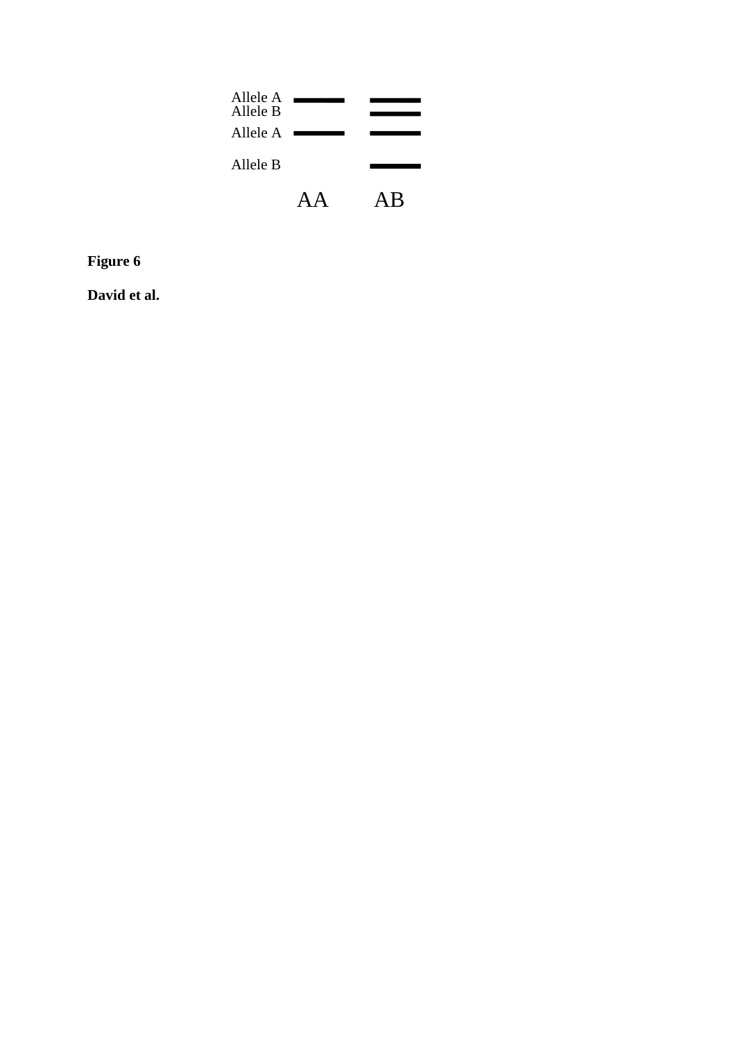| Allele A<br>Allele B<br>Allele A |   |
|----------------------------------|---|
| Allele B                         |   |
|                                  | R |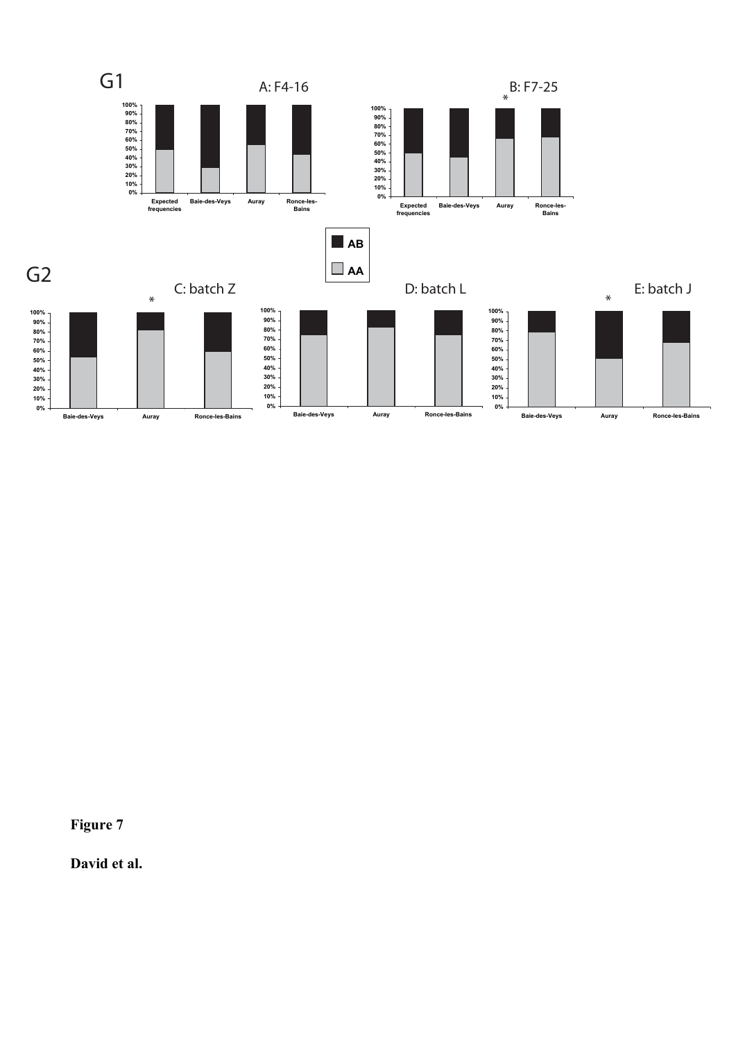